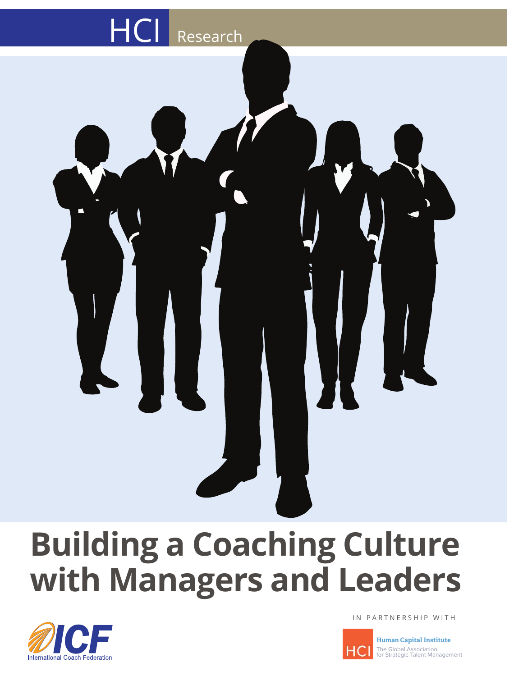

# **Building a Coaching Culture with Managers and Leaders**



IN PARTNERSHIP WITH



**Human Capital Institute** The Global Association for Strategic Talent Management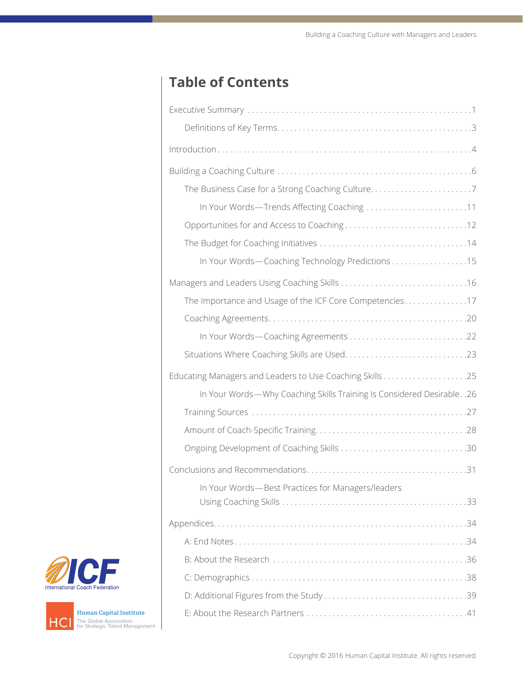# **Table of Contents**

| The Business Case for a Strong Coaching Culture7                         |
|--------------------------------------------------------------------------|
|                                                                          |
|                                                                          |
|                                                                          |
| In Your Words-Coaching Technology Predictions 15                         |
|                                                                          |
| The Importance and Usage of the ICF Core Competencies17                  |
|                                                                          |
|                                                                          |
|                                                                          |
|                                                                          |
| In Your Words-Why Coaching Skills Training Is Considered Desirable. . 26 |
|                                                                          |
|                                                                          |
|                                                                          |
|                                                                          |
| In Your Words-Best Practices for Managers/leaders                        |
|                                                                          |
|                                                                          |
|                                                                          |
|                                                                          |
|                                                                          |
|                                                                          |
|                                                                          |



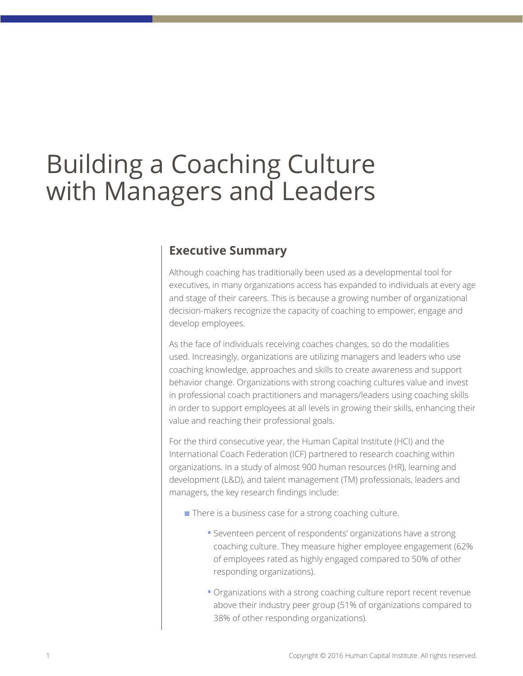# Building a Coaching Culture with Managers and Leaders

### **Executive Summary**

Although coaching has traditionally been used as a developmental tool for executives, in many organizations access has expanded to individuals at every age and stage of their careers. This is because a growing number of organizational decision-makers recognize the capacity of coaching to empower, engage and develop employees.

As the face of individuals receiving coaches changes, so do the modalities used. Increasingly, organizations are utilizing managers and leaders who use coaching knowledge, approaches and skills to create awareness and support behavior change. Organizations with strong coaching cultures value and invest in professional coach practitioners and managers/leaders using coaching skills in order to support employees at all levels in growing their skills, enhancing their value and reaching their professional goals.

For the third consecutive year, the Human Capital Institute (HCI) and the International Coach Federation (ICF) partnered to research coaching within organizations. In a study of almost 900 human resources (HR), learning and development (L&D), and talent management (TM) professionals, leaders and managers, the key research findings include:

- $\blacksquare$  There is a business case for a strong coaching culture.
	- **•** Seventeen percent of respondents' organizations have a strong coaching culture. They measure higher employee engagement (62% of employees rated as highly engaged compared to 50% of other responding organizations).
	- **•** Organizations with a strong coaching culture report recent revenue above their industry peer group (51% of organizations compared to 38% of other responding organizations).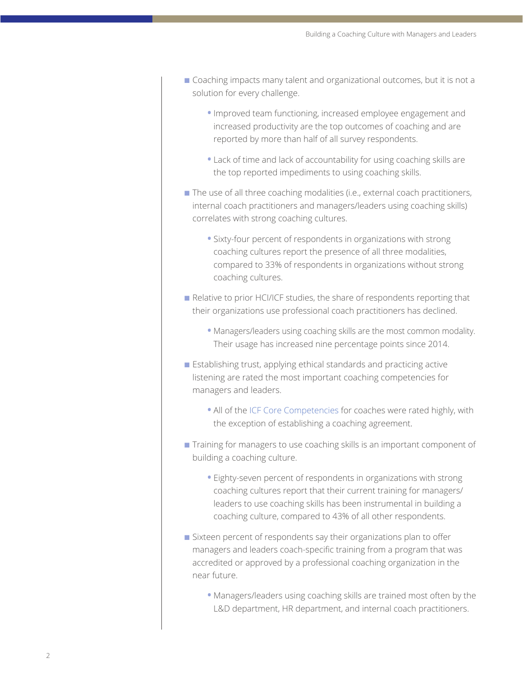- n Coaching impacts many talent and organizational outcomes, but it is not a solution for every challenge.
	- **•** Improved team functioning, increased employee engagement and increased productivity are the top outcomes of coaching and are reported by more than half of all survey respondents.
	- **•** Lack of time and lack of accountability for using coaching skills are the top reported impediments to using coaching skills.
- $\blacksquare$  The use of all three coaching modalities (i.e., external coach practitioners, internal coach practitioners and managers/leaders using coaching skills) correlates with strong coaching cultures.
	- **•** Sixty-four percent of respondents in organizations with strong coaching cultures report the presence of all three modalities, compared to 33% of respondents in organizations without strong coaching cultures.
- Relative to prior HCI/ICF studies, the share of respondents reporting that their organizations use professional coach practitioners has declined.
	- **•** Managers/leaders using coaching skills are the most common modality. Their usage has increased nine percentage points since 2014.
- Establishing trust, applying ethical standards and practicing active listening are rated the most important coaching competencies for managers and leaders.
	- **•** All of the [ICF Core Competencies](http://coachfederation.org/credential/landing.cfm?ItemNumber=2206) for coaches were rated highly, with the exception of establishing a coaching agreement.
- **n** Training for managers to use coaching skills is an important component of building a coaching culture.
	- **•** Eighty-seven percent of respondents in organizations with strong coaching cultures report that their current training for managers/ leaders to use coaching skills has been instrumental in building a coaching culture, compared to 43% of all other respondents.
- $\blacksquare$  Sixteen percent of respondents say their organizations plan to offer managers and leaders coach-specific training from a program that was accredited or approved by a professional coaching organization in the near future.
	- **•** Managers/leaders using coaching skills are trained most often by the L&D department, HR department, and internal coach practitioners.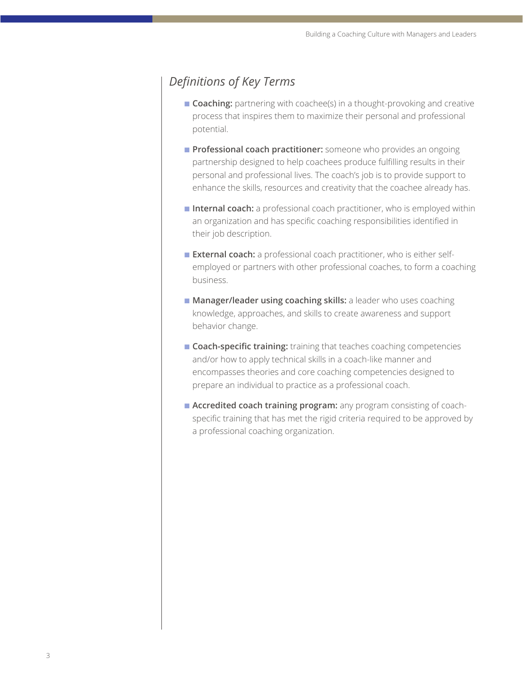# *Definitions of Key Terms*

- **Coaching:** partnering with coachee(s) in a thought-provoking and creative process that inspires them to maximize their personal and professional potential.
- **Professional coach practitioner:** someone who provides an ongoing partnership designed to help coachees produce fulfilling results in their personal and professional lives. The coach's job is to provide support to enhance the skills, resources and creativity that the coachee already has.
- **n Internal coach:** a professional coach practitioner, who is employed within an organization and has specific coaching responsibilities identified in their job description.
- **External coach:** a professional coach practitioner, who is either selfemployed or partners with other professional coaches, to form a coaching business.
- **n Manager/leader using coaching skills:** a leader who uses coaching knowledge, approaches, and skills to create awareness and support behavior change.
- **Coach-specific training:** training that teaches coaching competencies and/or how to apply technical skills in a coach-like manner and encompasses theories and core coaching competencies designed to prepare an individual to practice as a professional coach.
- **Accredited coach training program:** any program consisting of coachspecific training that has met the rigid criteria required to be approved by a professional coaching organization.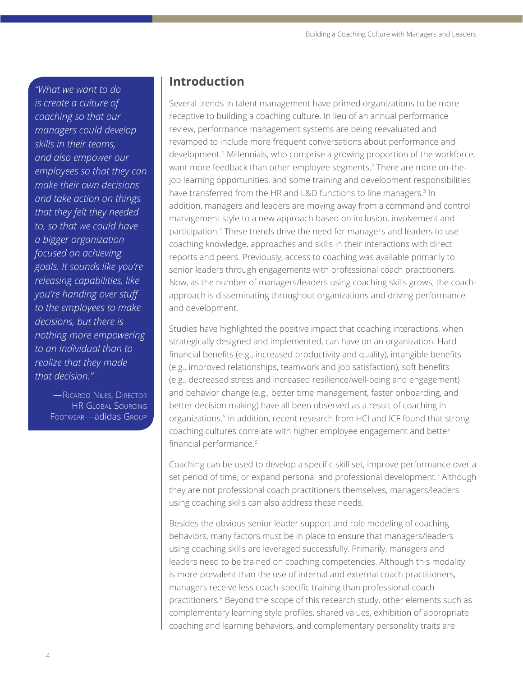*"What we want to do is create a culture of coaching so that our managers could develop skills in their teams, and also empower our employees so that they can make their own decisions and take action on things that they felt they needed to, so that we could have a bigger organization focused on achieving goals. It sounds like you're releasing capabilities, like you're handing over stuff to the employees to make decisions, but there is nothing more empowering to an individual than to realize that they made that decision."*

> —Ricardo Niles, Director HR Global Sourcing Footwear—adidas Group

### **Introduction**

Several trends in talent management have primed organizations to be more receptive to building a coaching culture. In lieu of an annual performance review, performance management systems are being reevaluated and revamped to include more frequent conversations about performance and development.1 Millennials, who comprise a growing proportion of the workforce, want more feedback than other employee segments.<sup>2</sup> There are more on-thejob learning opportunities, and some training and development responsibilities have transferred from the HR and L&D functions to line managers.<sup>3</sup> In addition, managers and leaders are moving away from a command and control management style to a new approach based on inclusion, involvement and participation.4 These trends drive the need for managers and leaders to use coaching knowledge, approaches and skills in their interactions with direct reports and peers. Previously, access to coaching was available primarily to senior leaders through engagements with professional coach practitioners. Now, as the number of managers/leaders using coaching skills grows, the coachapproach is disseminating throughout organizations and driving performance and development.

Studies have highlighted the positive impact that coaching interactions, when strategically designed and implemented, can have on an organization. Hard financial benefits (e.g., increased productivity and quality), intangible benefits (e.g., improved relationships, teamwork and job satisfaction), soft benefits (e.g., decreased stress and increased resilience/well-being and engagement) and behavior change (e.g., better time management, faster onboarding, and better decision making) have all been observed as a result of coaching in organizations.5 In addition, recent research from HCI and ICF found that strong coaching cultures correlate with higher employee engagement and better financial performance.<sup>6</sup>

Coaching can be used to develop a specific skill set, improve performance over a set period of time, or expand personal and professional development.<sup>7</sup> Although they are not professional coach practitioners themselves, managers/leaders using coaching skills can also address these needs.

Besides the obvious senior leader support and role modeling of coaching behaviors, many factors must be in place to ensure that managers/leaders using coaching skills are leveraged successfully. Primarily, managers and leaders need to be trained on coaching competencies. Although this modality is more prevalent than the use of internal and external coach practitioners, managers receive less coach-specific training than professional coach practitioners.<sup>8</sup> Beyond the scope of this research study, other elements such as complementary learning style profiles, shared values, exhibition of appropriate coaching and learning behaviors, and complementary personality traits are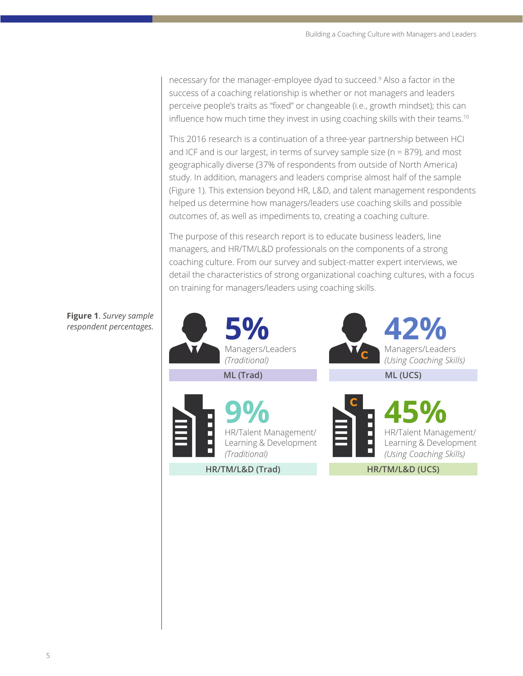necessary for the manager-employee dyad to succeed.<sup>9</sup> Also a factor in the success of a coaching relationship is whether or not managers and leaders perceive people's traits as "fixed" or changeable (i.e., growth mindset); this can influence how much time they invest in using coaching skills with their teams.<sup>10</sup>

This 2016 research is a continuation of a three-year partnership between HCI and ICF and is our largest, in terms of survey sample size ( $n = 879$ ), and most geographically diverse (37% of respondents from outside of North America) study. In addition, managers and leaders comprise almost half of the sample (Figure 1). This extension beyond HR, L&D, and talent management respondents helped us determine how managers/leaders use coaching skills and possible outcomes of, as well as impediments to, creating a coaching culture.

The purpose of this research report is to educate business leaders, line managers, and HR/TM/L&D professionals on the components of a strong coaching culture. From our survey and subject-matter expert interviews, we detail the characteristics of strong organizational coaching cultures, with a focus on training for managers/leaders using coaching skills.



#### **Figure 1**. *Survey sample respondent percentages.*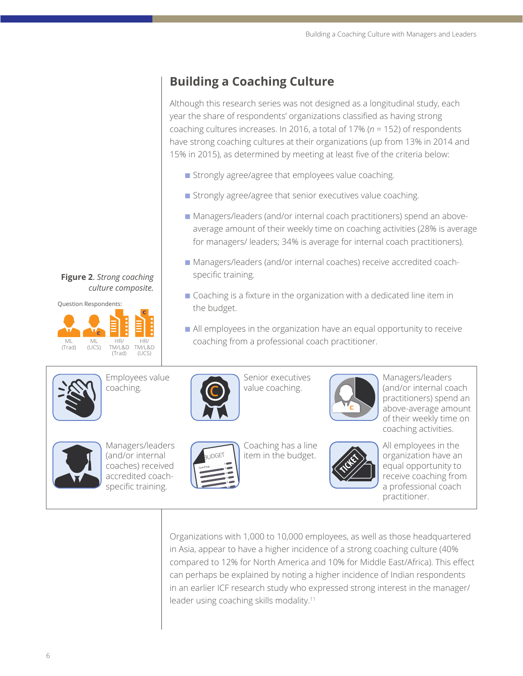# **Building a Coaching Culture**

Although this research series was not designed as a longitudinal study, each year the share of respondents' organizations classified as having strong coaching cultures increases. In 2016, a total of 17% (*n* = 152) of respondents have strong coaching cultures at their organizations (up from 13% in 2014 and 15% in 2015), as determined by meeting at least five of the criteria below:

- **n** Strongly agree/agree that employees value coaching.
- **n** Strongly agree/agree that senior executives value coaching.
- Managers/leaders (and/or internal coach practitioners) spend an aboveaverage amount of their weekly time on coaching activities (28% is average for managers/ leaders; 34% is average for internal coach practitioners).
- Managers/leaders (and/or internal coaches) receive accredited coachspecific training.
- Coaching is a fixture in the organization with a dedicated line item in the budget.
- n All employees in the organization have an equal opportunity to receive coaching from a professional coach practitioner.



Employees value coaching.



Senior executives value coaching.



Managers/leaders (and/or internal coach practitioners) spend an above-average amount of their weekly time on coaching activities.



Managers/leaders (and/or internal coaches) received accredited coachspecific training.



Coaching has a line item in the budget.



All employees in the organization have an equal opportunity to receive coaching from a professional coach practitioner.

Organizations with 1,000 to 10,000 employees, as well as those headquartered in Asia, appear to have a higher incidence of a strong coaching culture (40% compared to 12% for North America and 10% for Middle East/Africa). This effect can perhaps be explained by noting a higher incidence of Indian respondents in an earlier ICF research study who expressed strong interest in the manager/ leader using coaching skills modality.11

**Figure 2**. *Strong coaching culture composite.*

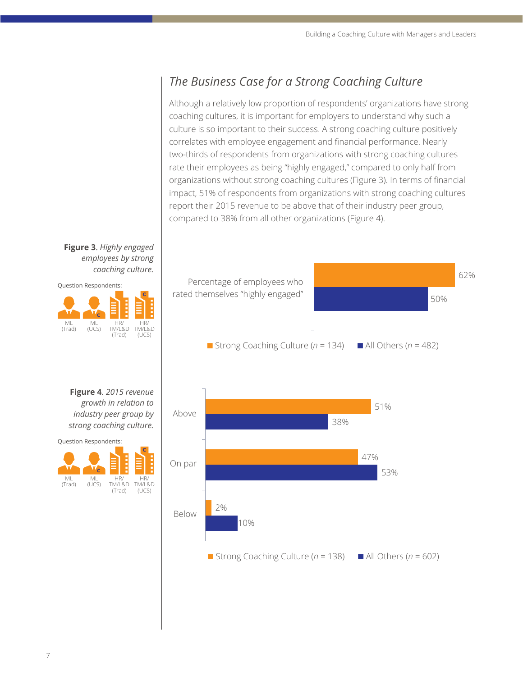# *The Business Case for a Strong Coaching Culture*

Although a relatively low proportion of respondents' organizations have strong coaching cultures, it is important for employers to understand why such a culture is so important to their success. A strong coaching culture positively correlates with employee engagement and financial performance. Nearly two-thirds of respondents from organizations with strong coaching cultures rate their employees as being "highly engaged," compared to only half from organizations without strong coaching cultures (Figure 3). In terms of financial impact, 51% of respondents from organizations with strong coaching cultures report their 2015 revenue to be above that of their industry peer group, compared to 38% from all other organizations (Figure 4).

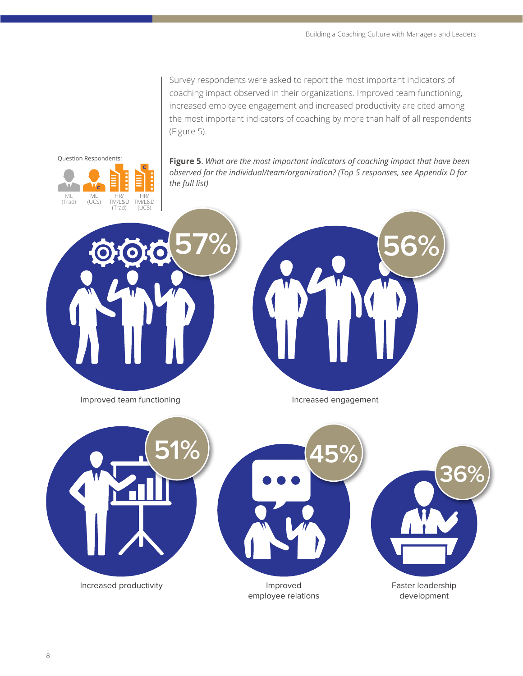Survey respondents were asked to report the most important indicators of coaching impact observed in their organizations. Improved team functioning, increased employee engagement and increased productivity are cited among the most important indicators of coaching by more than half of all respondents (Figure 5).



**Figure 5**. *What are the most important indicators of coaching impact that have been observed for the individual/team/organization? (Top 5 responses, see Appendix D for the full list)*





Improved team functioning and all the settlement of the engagement

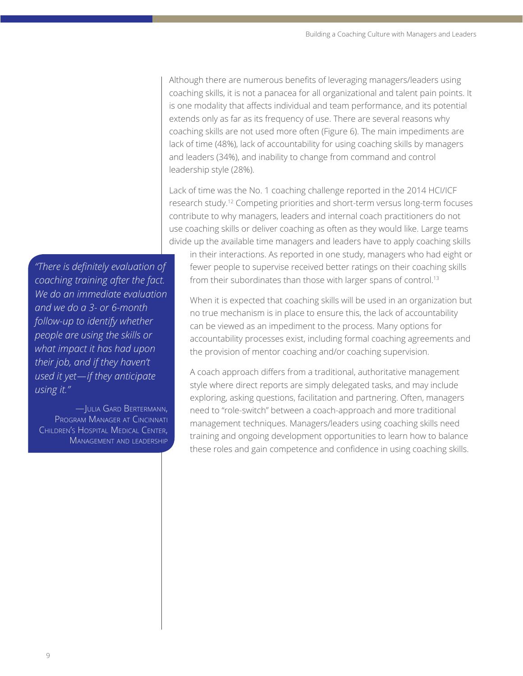Although there are numerous benefits of leveraging managers/leaders using coaching skills, it is not a panacea for all organizational and talent pain points. It is one modality that affects individual and team performance, and its potential extends only as far as its frequency of use. There are several reasons why coaching skills are not used more often (Figure 6). The main impediments are lack of time (48%), lack of accountability for using coaching skills by managers and leaders (34%), and inability to change from command and control leadership style (28%).

Lack of time was the No. 1 coaching challenge reported in the 2014 HCI/ICF research study.12 Competing priorities and short-term versus long-term focuses contribute to why managers, leaders and internal coach practitioners do not use coaching skills or deliver coaching as often as they would like. Large teams divide up the available time managers and leaders have to apply coaching skills

in their interactions. As reported in one study, managers who had eight or fewer people to supervise received better ratings on their coaching skills from their subordinates than those with larger spans of control.<sup>13</sup>

When it is expected that coaching skills will be used in an organization but no true mechanism is in place to ensure this, the lack of accountability can be viewed as an impediment to the process. Many options for accountability processes exist, including formal coaching agreements and the provision of mentor coaching and/or coaching supervision.

A coach approach differs from a traditional, authoritative management style where direct reports are simply delegated tasks, and may include exploring, asking questions, facilitation and partnering. Often, managers need to "role-switch" between a coach-approach and more traditional management techniques. Managers/leaders using coaching skills need training and ongoing development opportunities to learn how to balance these roles and gain competence and confidence in using coaching skills.

*"There is definitely evaluation of coaching training after the fact. We do an immediate evaluation and we do a 3- or 6-month follow-up to identify whether people are using the skills or what impact it has had upon their job, and if they haven't used it yet—if they anticipate using it."*

—Julia Gard Bertermann, Program Manager at Cincinnati Children's Hospital Medical Center, Management and leadership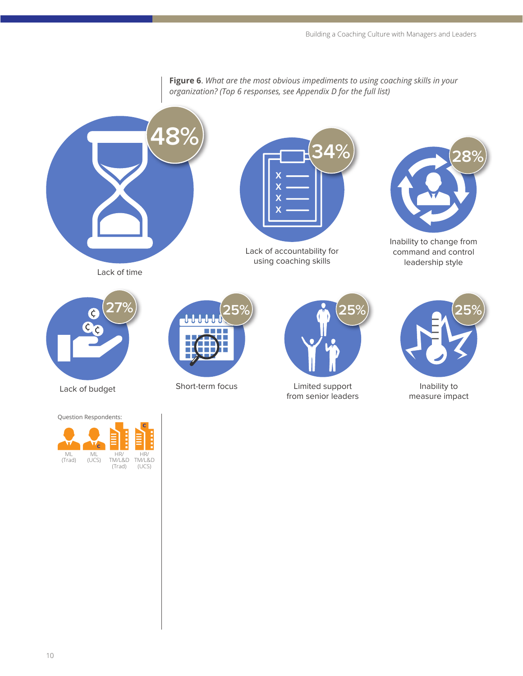**Figure 6**. *What are the most obvious impediments to using coaching skills in your organization? (Top 6 responses, see Appendix D for the full list)*





Lack of accountability for using coaching skills



Inability to change from command and control leadership style



Question Respondents:







Lack of budget Short-term focus Limited support from senior leaders



Inability to measure impact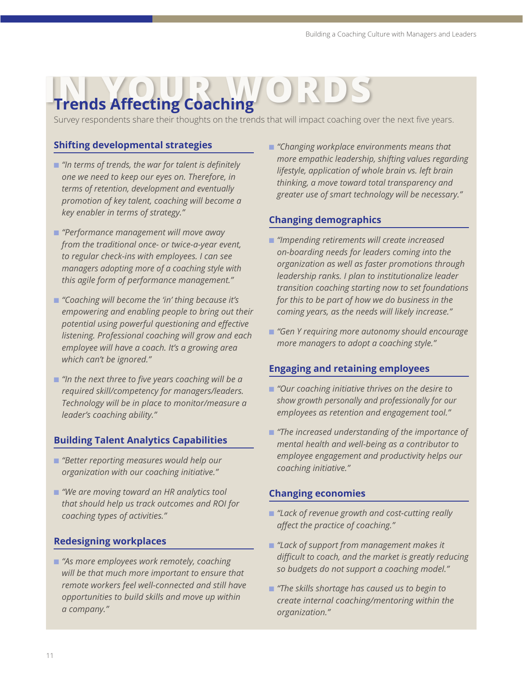# **In The Affecting Coaching**

Survey respondents share their thoughts on the trends that will impact coaching over the next five years.

#### **Shifting developmental strategies**

- "In terms of trends, the war for talent is definitely *one we need to keep our eyes on. Therefore, in terms of retention, development and eventually promotion of key talent, coaching will become a key enabler in terms of strategy."*
- n *"Performance management will move away from the traditional once- or twice-a-year event, to regular check-ins with employees. I can see managers adopting more of a coaching style with this agile form of performance management."*
- "Coaching will become the 'in' thing because it's *empowering and enabling people to bring out their potential using powerful questioning and effective listening. Professional coaching will grow and each employee will have a coach. It's a growing area which can't be ignored."*
- "In the next three to five years coaching will be a *required skill/competency for managers/leaders. Technology will be in place to monitor/measure a leader's coaching ability."*

#### **Building Talent Analytics Capabilities**

- **n** *"Better reporting measures would help our organization with our coaching initiative."*
- "We are moving toward an HR analytics tool *that should help us track outcomes and ROI for coaching types of activities."*

#### **Redesigning workplaces**

■ "As more employees work remotely, coaching *will be that much more important to ensure that remote workers feel well-connected and still have opportunities to build skills and move up within a company."*

n *"Changing workplace environments means that more empathic leadership, shifting values regarding lifestyle, application of whole brain vs. left brain thinking, a move toward total transparency and greater use of smart technology will be necessary."*

#### **Changing demographics**

- n *"Impending retirements will create increased on-boarding needs for leaders coming into the organization as well as faster promotions through leadership ranks. I plan to institutionalize leader transition coaching starting now to set foundations for this to be part of how we do business in the coming years, as the needs will likely increase."*
- "Gen Y requiring more autonomy should encourage *more managers to adopt a coaching style."*

#### **Engaging and retaining employees**

- "Our coaching initiative thrives on the desire to *show growth personally and professionally for our employees as retention and engagement tool."*
- **n** "The increased understanding of the importance of *mental health and well-being as a contributor to employee engagement and productivity helps our coaching initiative."*

#### **Changing economies**

- n *"Lack of revenue growth and cost-cutting really affect the practice of coaching."*
- "Lack of support from management makes it *difficult to coach, and the market is greatly reducing so budgets do not support a coaching model."*
- "The skills shortage has caused us to begin to *create internal coaching/mentoring within the organization."*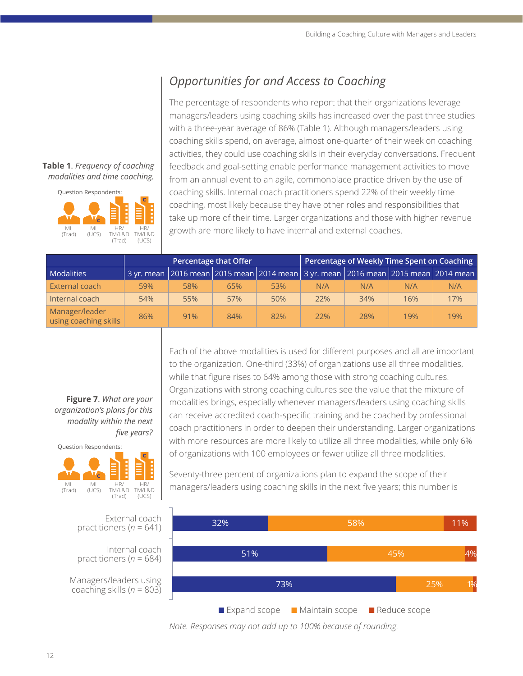# *Opportunities for and Access to Coaching*

The percentage of respondents who report that their organizations leverage managers/leaders using coaching skills has increased over the past three studies with a three-year average of 86% (Table 1). Although managers/leaders using coaching skills spend, on average, almost one-quarter of their week on coaching activities, they could use coaching skills in their everyday conversations. Frequent feedback and goal-setting enable performance management activities to move from an annual event to an agile, commonplace practice driven by the use of coaching skills. Internal coach practitioners spend 22% of their weekly time coaching, most likely because they have other roles and responsibilities that take up more of their time. Larger organizations and those with higher revenue growth are more likely to have internal and external coaches.

|                                         |     |                                                                                                 | Percentage that Offer |     | Percentage of Weekly Time Spent on Coaching |     |     |     |
|-----------------------------------------|-----|-------------------------------------------------------------------------------------------------|-----------------------|-----|---------------------------------------------|-----|-----|-----|
| <b>Modalities</b>                       |     | 3 yr. mean   2016 mean   2015 mean   2014 mean   3 yr. mean   2016 mean   2015 mean   2014 mean |                       |     |                                             |     |     |     |
| External coach                          | 59% | 58%                                                                                             | 65%                   | 53% | N/A                                         | N/A | N/A | N/A |
| Internal coach                          | 54% | 55%                                                                                             | 57%                   | 50% | 22%                                         | 34% | 16% | 17% |
| Manager/leader<br>using coaching skills | 86% | 91%                                                                                             | 84%                   | 82% | 22%                                         | 28% | 19% | 19% |

**Figure 7**. *What are your organization's plans for this modality within the next five years?*



Each of the above modalities is used for different purposes and all are important to the organization. One-third (33%) of organizations use all three modalities, while that figure rises to 64% among those with strong coaching cultures. Organizations with strong coaching cultures see the value that the mixture of modalities brings, especially whenever managers/leaders using coaching skills can receive accredited coach-specific training and be coached by professional coach practitioners in order to deepen their understanding. Larger organizations with more resources are more likely to utilize all three modalities, while only 6% of organizations with 100 employees or fewer utilize all three modalities.

Seventy-three percent of organizations plan to expand the scope of their managers/leaders using coaching skills in the next five years; this number is



*Note. Responses may not add up to 100% because of rounding.*

#### **Table 1**. *Frequency of coaching modalities and time coaching.*

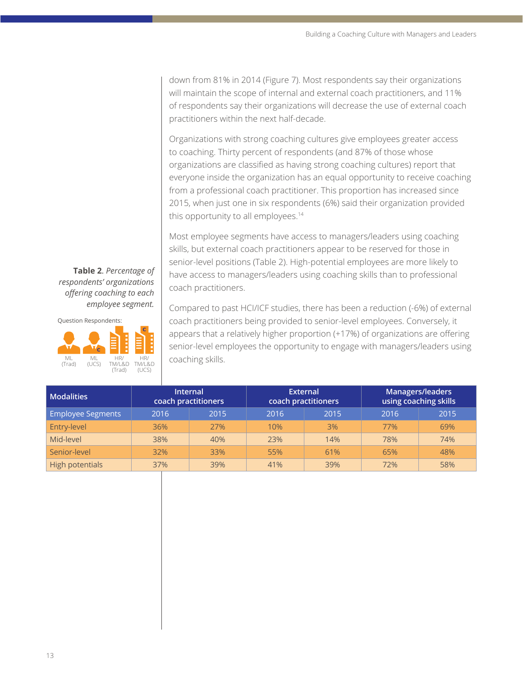down from 81% in 2014 (Figure 7). Most respondents say their organizations will maintain the scope of internal and external coach practitioners, and 11% of respondents say their organizations will decrease the use of external coach practitioners within the next half-decade.

Organizations with strong coaching cultures give employees greater access to coaching. Thirty percent of respondents (and 87% of those whose organizations are classified as having strong coaching cultures) report that everyone inside the organization has an equal opportunity to receive coaching from a professional coach practitioner. This proportion has increased since 2015, when just one in six respondents (6%) said their organization provided this opportunity to all employees.<sup>14</sup>

Most employee segments have access to managers/leaders using coaching skills, but external coach practitioners appear to be reserved for those in senior-level positions (Table 2). High-potential employees are more likely to have access to managers/leaders using coaching skills than to professional coach practitioners.

**Table 2**. *Percentage of respondents' organizations offering coaching to each employee segment.*

Question Respondents:



Compared to past HCI/ICF studies, there has been a reduction (-6%) of external coach practitioners being provided to senior-level employees. Conversely, it appears that a relatively higher proportion (+17%) of organizations are offering senior-level employees the opportunity to engage with managers/leaders using coaching skills.

| <b>Modalities</b>        | <b>Internal</b><br>coach practitioners |      |      | <b>External</b><br>coach practitioners | Managers/leaders<br>using coaching skills |      |  |
|--------------------------|----------------------------------------|------|------|----------------------------------------|-------------------------------------------|------|--|
| <b>Employee Segments</b> | 2016                                   | 2015 | 2016 | 2015                                   | 2016                                      | 2015 |  |
| Entry-level              | 36%                                    | 27%  | 10%  | 3%                                     | 77%                                       | 69%  |  |
| Mid-level                | 38%                                    | 40%  | 23%  | 14%                                    | 78%                                       | 74%  |  |
| Senior-level             | 32%                                    | 33%  | 55%  | 61%                                    | 65%                                       | 48%  |  |
| High potentials          | 37%                                    | 39%  | 41%  | 39%                                    | 72%                                       | 58%  |  |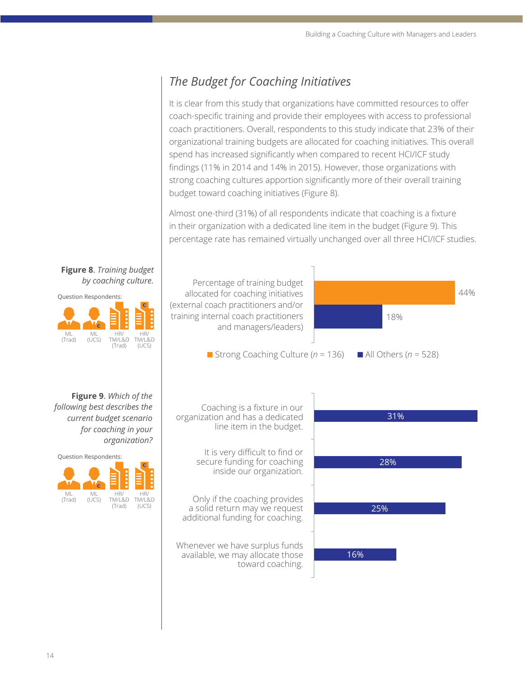# *The Budget for Coaching Initiatives*

It is clear from this study that organizations have committed resources to offer coach-specific training and provide their employees with access to professional coach practitioners. Overall, respondents to this study indicate that 23% of their organizational training budgets are allocated for coaching initiatives. This overall spend has increased significantly when compared to recent HCI/ICF study findings (11% in 2014 and 14% in 2015). However, those organizations with strong coaching cultures apportion significantly more of their overall training budget toward coaching initiatives (Figure 8).

Almost one-third (31%) of all respondents indicate that coaching is a fixture in their organization with a dedicated line item in the budget (Figure 9). This percentage rate has remained virtually unchanged over all three HCI/ICF studies.

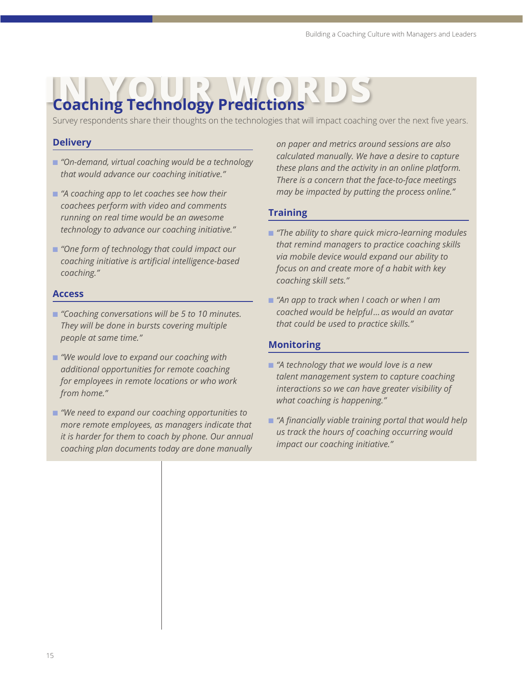# **In the Coaching Technology Predictions**

Survey respondents share their thoughts on the technologies that will impact coaching over the next five years.

#### **Delivery**

- n *"On-demand, virtual coaching would be a technology that would advance our coaching initiative."*
- $"A$  coaching app to let coaches see how their *coachees perform with video and comments running on real time would be an awesome technology to advance our coaching initiative."*
- "One form of technology that could impact our *coaching initiative is artificial intelligence-based coaching."*

#### **Access**

- "Coaching conversations will be 5 to 10 minutes. *They will be done in bursts covering multiple people at same time."*
- *"We would love to expand our coaching with additional opportunities for remote coaching for employees in remote locations or who work from home."*
- "We need to expand our coaching opportunities to *more remote employees, as managers indicate that it is harder for them to coach by phone. Our annual coaching plan documents today are done manually*

*on paper and metrics around sessions are also calculated manually. We have a desire to capture these plans and the activity in an online platform. There is a concern that the face-to-face meetings may be impacted by putting the process online."*

#### **Training**

- "The ability to share quick micro-learning modules *that remind managers to practice coaching skills via mobile device would expand our ability to focus on and create more of a habit with key coaching skill sets."*
- "An app to track when I coach or when I am *coached would be helpful… as would an avatar that could be used to practice skills."*

#### **Monitoring**

- "A technology that we would love is a new *talent management system to capture coaching interactions so we can have greater visibility of what coaching is happening."*
- "A financially viable training portal that would help *us track the hours of coaching occurring would impact our coaching initiative."*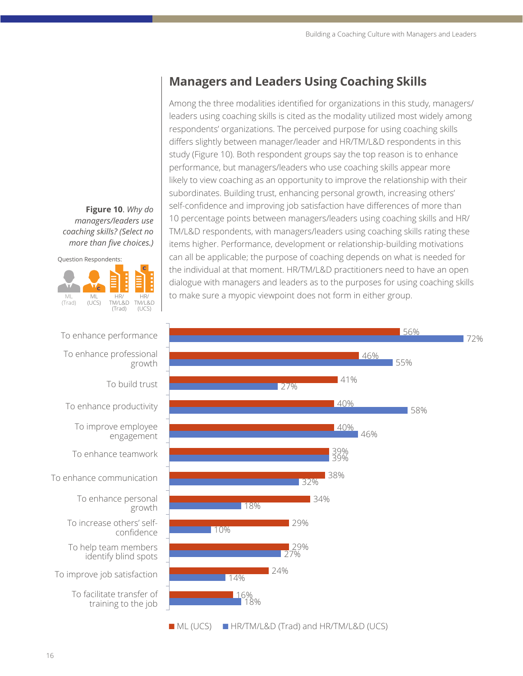# **Managers and Leaders Using Coaching Skills**

Among the three modalities identified for organizations in this study, managers/ leaders using coaching skills is cited as the modality utilized most widely among respondents' organizations. The perceived purpose for using coaching skills differs slightly between manager/leader and HR/TM/L&D respondents in this study (Figure 10). Both respondent groups say the top reason is to enhance performance, but managers/leaders who use coaching skills appear more likely to view coaching as an opportunity to improve the relationship with their subordinates. Building trust, enhancing personal growth, increasing others' self-confidence and improving job satisfaction have differences of more than 10 percentage points between managers/leaders using coaching skills and HR/ TM/L&D respondents, with managers/leaders using coaching skills rating these items higher. Performance, development or relationship-building motivations can all be applicable; the purpose of coaching depends on what is needed for the individual at that moment. HR/TM/L&D practitioners need to have an open dialogue with managers and leaders as to the purposes for using coaching skills to make sure a myopic viewpoint does not form in either group.



**Figure 10**. *Why do managers/leaders use coaching skills? (Select no more than five choices.)*



To enhance performance



To facilitate transfer of training to the job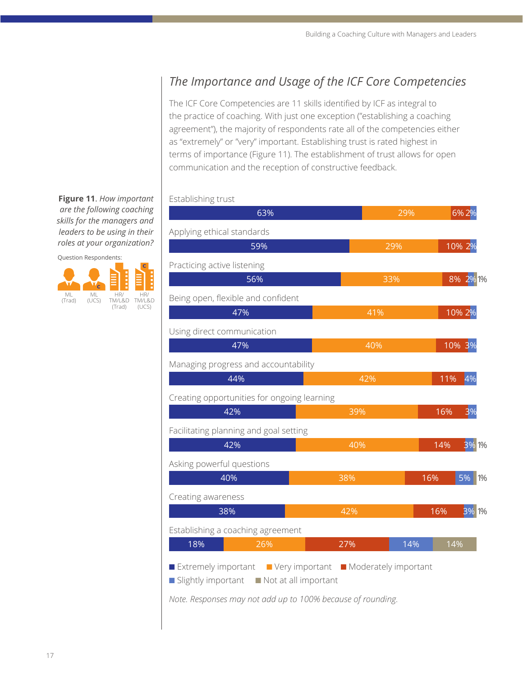# *The Importance and Usage of the ICF Core Competencies*

The ICF Core Competencies are 11 skills identified by ICF as integral to the practice of coaching. With just one exception ("establishing a coaching agreement"), the majority of respondents rate all of the competencies either as "extremely" or "very" important. Establishing trust is rated highest in terms of importance (Figure 11). The establishment of trust allows for open communication and the reception of constructive feedback.

**Figure 11**. *How important are the following coaching skills for the managers and leaders to be using in their roles at your organization?*

Establishing trust



| 63%                                                                                 |                      | 29% | 6% 2%                 |
|-------------------------------------------------------------------------------------|----------------------|-----|-----------------------|
| Applying ethical standards                                                          |                      |     |                       |
| 59%                                                                                 |                      | 29% | $10\%$ 2 <sup>%</sup> |
| Practicing active listening                                                         |                      |     |                       |
| 56%                                                                                 | 33%                  |     | 8% 2% 1%              |
| Being open, flexible and confident                                                  |                      |     |                       |
| 47%                                                                                 | 41%                  |     | 10% 2%                |
| Using direct communication                                                          |                      |     |                       |
| 47%                                                                                 | 40%                  |     | 10% 3%                |
| Managing progress and accountability                                                |                      |     |                       |
| 44%                                                                                 | 42%                  |     | 4%<br>11%             |
| Creating opportunities for ongoing learning                                         |                      |     |                       |
| 42%                                                                                 | 39%                  |     | 3%<br>16%             |
| Facilitating planning and goal setting                                              |                      |     |                       |
| 42%                                                                                 | 40%                  |     | 14%<br><b>3%1%</b>    |
| Asking powerful questions                                                           |                      |     |                       |
| 40%                                                                                 | 38%                  | 16% | 5%<br>1%              |
| Creating awareness                                                                  |                      |     |                       |
| 38%                                                                                 | 42%                  |     | 16%<br>3% 1%          |
| Establishing a coaching agreement                                                   |                      |     |                       |
| 18%<br>26%                                                                          | 27%                  | 14% | 14%                   |
| Extremely important<br>Very important<br>Slightly important<br>Not at all important | Moderately important |     |                       |

*Note. Responses may not add up to 100% because of rounding.*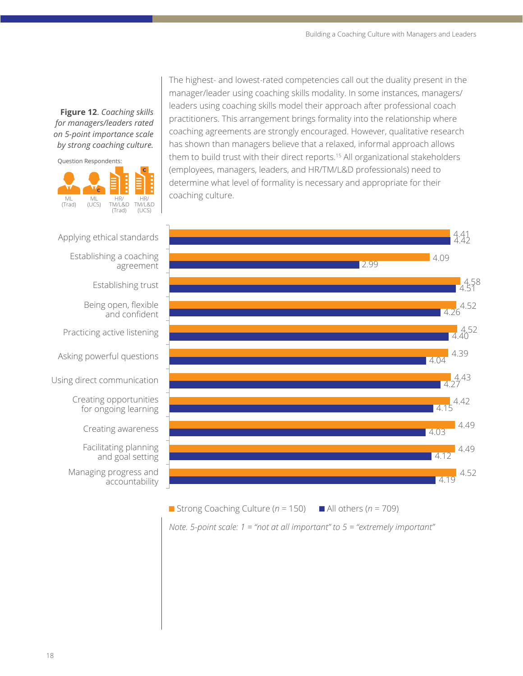**Figure 12**. *Coaching skills for managers/leaders rated on 5-point importance scale by strong coaching culture.* 



The highest- and lowest-rated competencies call out the duality present in the manager/leader using coaching skills modality. In some instances, managers/ leaders using coaching skills model their approach after professional coach practitioners. This arrangement brings formality into the relationship where coaching agreements are strongly encouraged. However, qualitative research has shown than managers believe that a relaxed, informal approach allows them to build trust with their direct reports.15 All organizational stakeholders (employees, managers, leaders, and HR/TM/L&D professionals) need to determine what level of formality is necessary and appropriate for their coaching culture.



Applying ethical standards Establishing a coaching

agreement

Establishing trust

Being open, flexible and confident

Practicing active listening

Asking powerful questions

Using direct communication

Creating opportunities for ongoing learning

Creating awareness

Facilitating planning and goal setting

Managing progress and accountability

**n** Strong Coaching Culture ( $n = 150$ ) **n** All others ( $n = 709$ )

*Note. 5-point scale: 1 = "not at all important" to 5 = "extremely important"*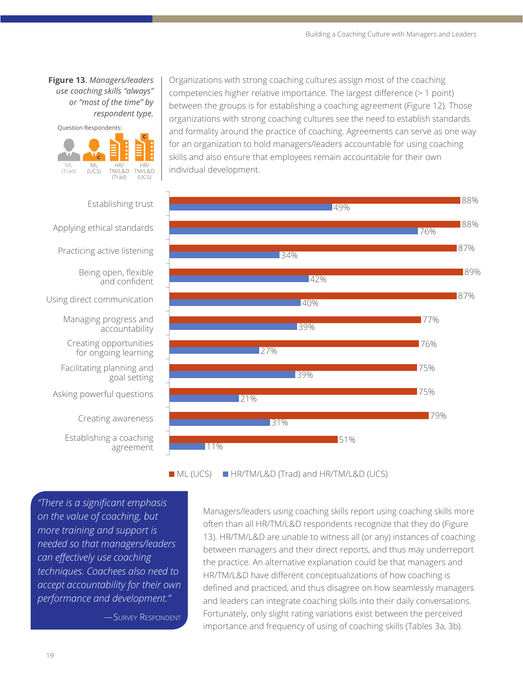**Figure 13**. *Managers/leaders use coaching skills "always" or "most of the time" by respondent type.* 

Question Respondents: **C** ML (Trad) **C**ML (UCS) HR/ TM/L&D (Trad) **C** HR/ TM/L&D (UCS)

Organizations with strong coaching cultures assign most of the coaching competencies higher relative importance. The largest difference (> 1 point) between the groups is for establishing a coaching agreement (Figure 12). Those organizations with strong coaching cultures see the need to establish standards and formality around the practice of coaching. Agreements can serve as one way for an organization to hold managers/leaders accountable for using coaching skills and also ensure that employees remain accountable for their own individual development.



■ ML (UCS) ■ HR/TM/L&D (Trad) and HR/TM/L&D (UCS)

*"There is a significant emphasis on the value of coaching, but more training and support is needed so that managers/leaders can effectively use coaching techniques. Coachees also need to accept accountability for their own performance and development."* 

—Survey Respondent

Managers/leaders using coaching skills report using coaching skills more often than all HR/TM/L&D respondents recognize that they do (Figure 13). HR/TM/L&D are unable to witness all (or any) instances of coaching between managers and their direct reports, and thus may underreport the practice. An alternative explanation could be that managers and HR/TM/L&D have different conceptualizations of how coaching is defined and practiced, and thus disagree on how seamlessly managers and leaders can integrate coaching skills into their daily conversations. Fortunately, only slight rating variations exist between the perceived importance and frequency of using of coaching skills (Tables 3a, 3b).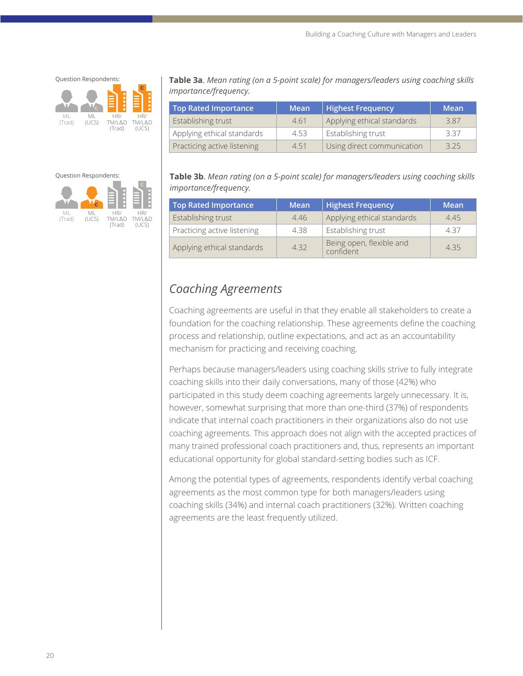Question Respondents:

ML (Trad) ML (UCS) **C** HR/ TM/L&D (Trad) **C** HR/ TM/L&D (UCS)

**Table 3a**. *Mean rating (on a 5-point scale) for managers/leaders using coaching skills importance/frequency.*

| Top Rated Importance        | <b>Mean</b> | <b>Highest Frequency</b>   | Mean |
|-----------------------------|-------------|----------------------------|------|
| Establishing trust          | 461         | Applying ethical standards | 387  |
| Applying ethical standards  | 4.53        | Establishing trust         | 337  |
| Practicing active listening | 4.51        | Using direct communication | 325  |

#### Question Respondents:



**Table 3b**. *Mean rating (on a 5-point scale) for managers/leaders using coaching skills importance/frequency.*

| Top Rated Importance        | <b>Mean</b> | <b>Highest Frequency</b>              | Mean |
|-----------------------------|-------------|---------------------------------------|------|
| Establishing trust          | 4.46        | Applying ethical standards            | 4.45 |
| Practicing active listening | 4.38        | Establishing trust                    | 437  |
| Applying ethical standards  | 4.32        | Being open, flexible and<br>confident | 435  |

# *Coaching Agreements*

Coaching agreements are useful in that they enable all stakeholders to create a foundation for the coaching relationship. These agreements define the coaching process and relationship, outline expectations, and act as an accountability mechanism for practicing and receiving coaching.

Perhaps because managers/leaders using coaching skills strive to fully integrate coaching skills into their daily conversations, many of those (42%) who participated in this study deem coaching agreements largely unnecessary. It is, however, somewhat surprising that more than one-third (37%) of respondents indicate that internal coach practitioners in their organizations also do not use coaching agreements. This approach does not align with the accepted practices of many trained professional coach practitioners and, thus, represents an important educational opportunity for global standard-setting bodies such as ICF.

Among the potential types of agreements, respondents identify verbal coaching agreements as the most common type for both managers/leaders using coaching skills (34%) and internal coach practitioners (32%). Written coaching agreements are the least frequently utilized.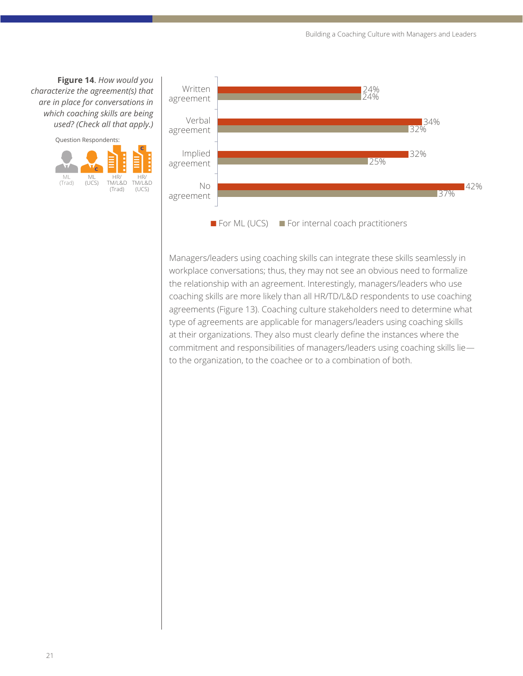**Figure 14**. *How would you characterize the agreement(s) that are in place for conversations in which coaching skills are being* 





Managers/leaders using coaching skills can integrate these skills seamlessly in workplace conversations; thus, they may not see an obvious need to formalize the relationship with an agreement. Interestingly, managers/leaders who use coaching skills are more likely than all HR/TD/L&D respondents to use coaching agreements (Figure 13). Coaching culture stakeholders need to determine what type of agreements are applicable for managers/leaders using coaching skills at their organizations. They also must clearly define the instances where the commitment and responsibilities of managers/leaders using coaching skills lie to the organization, to the coachee or to a combination of both.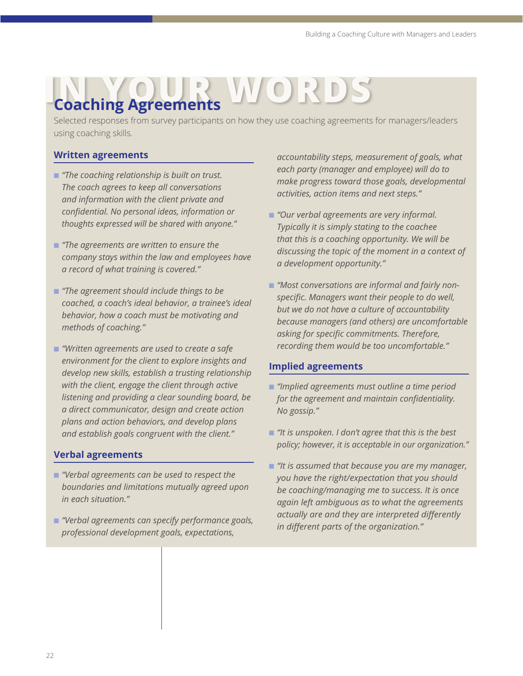# **Coaching Agreements**

Selected responses from survey participants on how they use coaching agreements for managers/leaders using coaching skills.

#### **Written agreements**

- *"The coaching relationship is built on trust. The coach agrees to keep all conversations and information with the client private and confidential. No personal ideas, information or thoughts expressed will be shared with anyone."*
- "The agreements are written to ensure the *company stays within the law and employees have a record of what training is covered."*
- "The agreement should include things to be *coached, a coach's ideal behavior, a trainee's ideal behavior, how a coach must be motivating and methods of coaching."*
- n *"Written agreements are used to create a safe environment for the client to explore insights and develop new skills, establish a trusting relationship with the client, engage the client through active listening and providing a clear sounding board, be a direct communicator, design and create action plans and action behaviors, and develop plans and establish goals congruent with the client."*

#### **Verbal agreements**

- n *"Verbal agreements can be used to respect the boundaries and limitations mutually agreed upon in each situation."*
- n *"Verbal agreements can specify performance goals, professional development goals, expectations,*

*accountability steps, measurement of goals, what each party (manager and employee) will do to make progress toward those goals, developmental activities, action items and next steps."*

- "Our verbal agreements are very informal. *Typically it is simply stating to the coachee that this is a coaching opportunity. We will be discussing the topic of the moment in a context of a development opportunity."*
- **n** "Most conversations are informal and fairly non*specific. Managers want their people to do well, but we do not have a culture of accountability because managers (and others) are uncomfortable asking for specific commitments. Therefore, recording them would be too uncomfortable."*

#### **Implied agreements**

- n *"Implied agreements must outline a time period for the agreement and maintain confidentiality. No gossip."*
- n *"It is unspoken. I don't agree that this is the best policy; however, it is acceptable in our organization."*
- n *"It is assumed that because you are my manager, you have the right/expectation that you should be coaching/managing me to success. It is once again left ambiguous as to what the agreements actually are and they are interpreted differently in different parts of the organization."*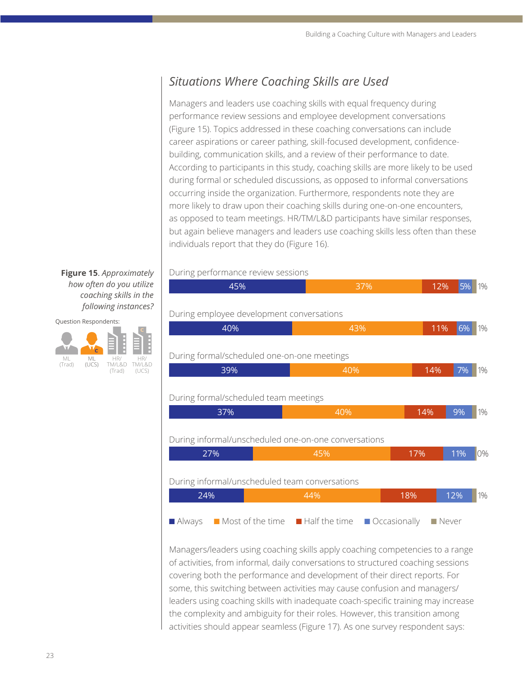# *Situations Where Coaching Skills are Used*

Managers and leaders use coaching skills with equal frequency during performance review sessions and employee development conversations (Figure 15). Topics addressed in these coaching conversations can include career aspirations or career pathing, skill-focused development, confidencebuilding, communication skills, and a review of their performance to date. According to participants in this study, coaching skills are more likely to be used during formal or scheduled discussions, as opposed to informal conversations occurring inside the organization. Furthermore, respondents note they are more likely to draw upon their coaching skills during one-on-one encounters, as opposed to team meetings. HR/TM/L&D participants have similar responses, but again believe managers and leaders use coaching skills less often than these individuals report that they do (Figure 16).

#### **Figure 15**. *Approximately how often do you utilize coaching skills in the following instances?*

Question Respondents:



#### During performance review sessions

| Paring performance review bebbiorib                  |     |     |     |       |
|------------------------------------------------------|-----|-----|-----|-------|
| 45%                                                  | 37% | 12% | 5%  | 1%    |
|                                                      |     |     |     |       |
| During employee development conversations            |     |     |     |       |
| 40%                                                  | 43% | 11% | 6%  | $1\%$ |
|                                                      |     |     |     |       |
| During formal/scheduled one-on-one meetings          |     |     |     |       |
| 39%                                                  | 40% | 14% | 7%  | 1%    |
|                                                      |     |     |     |       |
| During formal/scheduled team meetings                |     |     |     |       |
| 37%                                                  | 40% | 14% | 9%  | 1%    |
|                                                      |     |     |     |       |
| During informal/unscheduled one-on-one conversations |     |     |     |       |
| 27%                                                  | 45% | 17% | 11% | 10%   |
|                                                      |     |     |     |       |

#### During informal/unscheduled team conversations

| 24% |  |  | 44%                                                                                                                                 | 18% | $12\%$ 1% |  |
|-----|--|--|-------------------------------------------------------------------------------------------------------------------------------------|-----|-----------|--|
|     |  |  | $\blacksquare$ Always $\blacksquare$ Most of the time $\blacksquare$ Half the time $\blacksquare$ Occasionally $\blacksquare$ Never |     |           |  |

Managers/leaders using coaching skills apply coaching competencies to a range of activities, from informal, daily conversations to structured coaching sessions covering both the performance and development of their direct reports. For some, this switching between activities may cause confusion and managers/ leaders using coaching skills with inadequate coach-specific training may increase the complexity and ambiguity for their roles. However, this transition among activities should appear seamless (Figure 17). As one survey respondent says: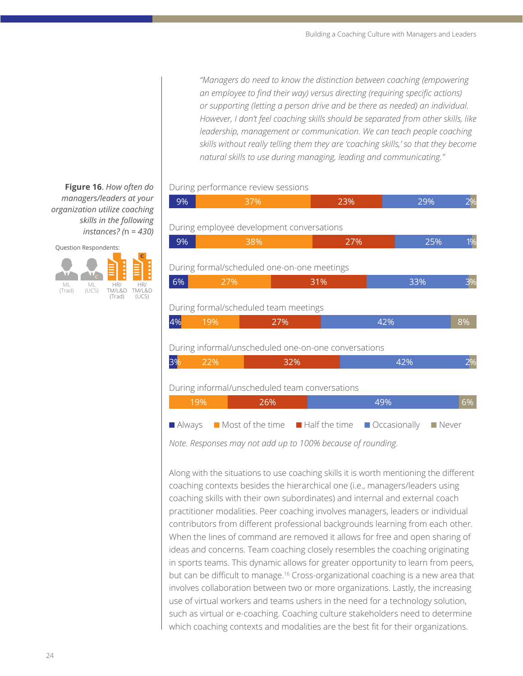*"Managers do need to know the distinction between coaching (empowering an employee to find their way) versus directing (requiring specific actions) or supporting (letting a person drive and be there as needed) an individual. However, I don't feel coaching skills should be separated from other skills, like leadership, management or communication. We can teach people coaching skills without really telling them they are 'coaching skills,' so that they become natural skills to use during managing, leading and communicating."*

#### During performance review sessions

| 9%        | 37% | 23%                                                          |                             | 29%                  | $2\%$ |
|-----------|-----|--------------------------------------------------------------|-----------------------------|----------------------|-------|
|           |     | During employee development conversations                    |                             |                      |       |
| 9%        | 38% |                                                              | 27%                         | 25%                  | 1%    |
|           |     | During formal/scheduled one-on-one meetings                  |                             |                      |       |
| 6%        | 27% | 31%                                                          |                             | 33%                  |       |
| 4%<br>19% |     | 27%<br>During informal/unscheduled one-on-one conversations  | 42%                         |                      | 8%    |
| 3%<br>22% |     | 32%                                                          |                             | 42%                  | 2%    |
|           |     | During informal/unscheduled team conversations               |                             |                      |       |
| 19%       | 26% |                                                              | 49%                         |                      | 6%    |
| Always    |     | $\blacksquare$ Most of the time $\blacksquare$ Half the time | $\blacksquare$ Occasionally | $\blacksquare$ Never |       |

*Note. Responses may not add up to 100% because of rounding.*

Along with the situations to use coaching skills it is worth mentioning the different coaching contexts besides the hierarchical one (i.e., managers/leaders using coaching skills with their own subordinates) and internal and external coach practitioner modalities. Peer coaching involves managers, leaders or individual contributors from different professional backgrounds learning from each other. When the lines of command are removed it allows for free and open sharing of ideas and concerns. Team coaching closely resembles the coaching originating in sports teams. This dynamic allows for greater opportunity to learn from peers, but can be difficult to manage.<sup>16</sup> Cross-organizational coaching is a new area that involves collaboration between two or more organizations. Lastly, the increasing use of virtual workers and teams ushers in the need for a technology solution, such as virtual or e-coaching. Coaching culture stakeholders need to determine which coaching contexts and modalities are the best fit for their organizations.

**Figure 16**. *How often do managers/leaders at your organization utilize coaching skills in the following instances? (*n *= 430)*

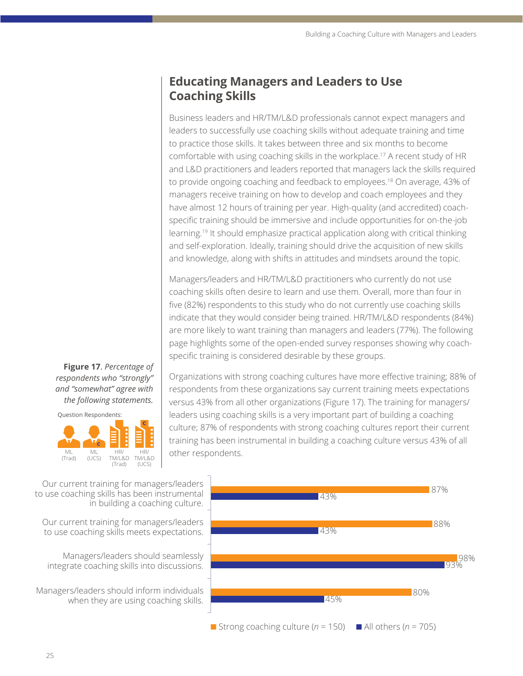## **Educating Managers and Leaders to Use Coaching Skills**

Business leaders and HR/TM/L&D professionals cannot expect managers and leaders to successfully use coaching skills without adequate training and time to practice those skills. It takes between three and six months to become comfortable with using coaching skills in the workplace.<sup>17</sup> A recent study of HR and L&D practitioners and leaders reported that managers lack the skills required to provide ongoing coaching and feedback to employees.<sup>18</sup> On average, 43% of managers receive training on how to develop and coach employees and they have almost 12 hours of training per year. High-quality (and accredited) coachspecific training should be immersive and include opportunities for on-the-job learning.19 It should emphasize practical application along with critical thinking and self-exploration. Ideally, training should drive the acquisition of new skills and knowledge, along with shifts in attitudes and mindsets around the topic.

Managers/leaders and HR/TM/L&D practitioners who currently do not use coaching skills often desire to learn and use them. Overall, more than four in five (82%) respondents to this study who do not currently use coaching skills indicate that they would consider being trained. HR/TM/L&D respondents (84%) are more likely to want training than managers and leaders (77%). The following page highlights some of the open-ended survey responses showing why coachspecific training is considered desirable by these groups.

**Figure 17**. *Percentage of respondents who "strongly" and "somewhat" agree with the following statements.* 



Organizations with strong coaching cultures have more effective training; 88% of respondents from these organizations say current training meets expectations versus 43% from all other organizations (Figure 17). The training for managers/ leaders using coaching skills is a very important part of building a coaching culture; 87% of respondents with strong coaching cultures report their current training has been instrumental in building a coaching culture versus 43% of all other respondents.

Our current training for managers/leaders to use coaching skills has been instrumental in building a coaching culture.

Our current training for managers/leaders to use coaching skills meets expectations.

Managers/leaders should seamlessly integrate coaching skills into discussions.

Managers/leaders should inform individuals when they are using coaching skills.



Strong coaching culture ( $n = 150$ )  $\blacksquare$  All others ( $n = 705$ )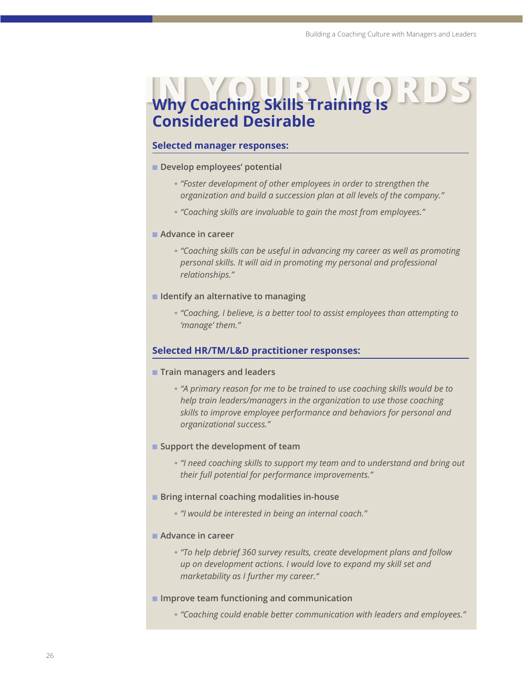# **Why Coaching Skills Training Is Considered Desirable**

#### **Selected manager responses:**

- **n** Develop employees' potential
	- *"Foster development of other employees in order to strengthen the organization and build a succession plan at all levels of the company."*
	- *"Coaching skills are invaluable to gain the most from employees."*

#### **n** Advance in career

- *"Coaching skills can be useful in advancing my career as well as promoting personal skills. It will aid in promoting my personal and professional relationships."*
- $\blacksquare$  Identify an alternative to managing
	- *"Coaching, I believe, is a better tool to assist employees than attempting to 'manage' them."*

#### **Selected HR/TM/L&D practitioner responses:**

- **n** Train managers and leaders
	- *"A primary reason for me to be trained to use coaching skills would be to help train leaders/managers in the organization to use those coaching skills to improve employee performance and behaviors for personal and organizational success."*
- **n** Support the development of team
	- *"I need coaching skills to support my team and to understand and bring out their full potential for performance improvements."*
- Bring internal coaching modalities in-house
	- *"I would be interested in being an internal coach."*
- Advance in career
	- *"To help debrief 360 survey results, create development plans and follow up on development actions. I would love to expand my skill set and marketability as I further my career."*
- **n** Improve team functioning and communication
	- *"Coaching could enable better communication with leaders and employees."*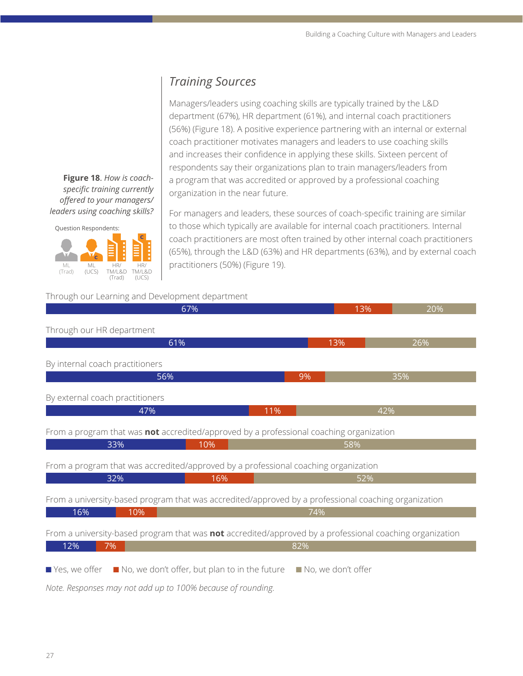## *Training Sources*

Managers/leaders using coaching skills are typically trained by the L&D department (67%), HR department (61%), and internal coach practitioners (56%) (Figure 18). A positive experience partnering with an internal or external coach practitioner motivates managers and leaders to use coaching skills and increases their confidence in applying these skills. Sixteen percent of respondents say their organizations plan to train managers/leaders from a program that was accredited or approved by a professional coaching organization in the near future.

For managers and leaders, these sources of coach-specific training are similar to those which typically are available for internal coach practitioners. Internal coach practitioners are most often trained by other internal coach practitioners (65%), through the L&D (63%) and HR departments (63%), and by external coach practitioners (50%) (Figure 19).

#### Through our Learning and Development department



**Figure 18**. *How is coachspecific training currently offered to your managers/ leaders using coaching skills?*

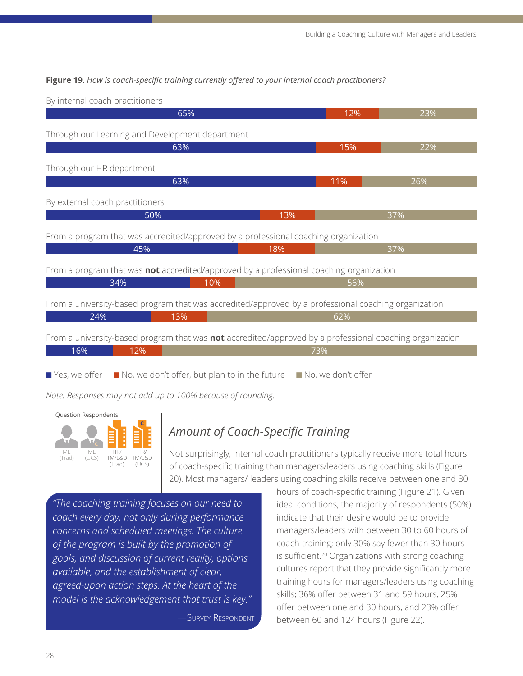#### **Figure 19**. *How is coach-specific training currently offered to your internal coach practitioners?*

65% 12% 23% By internal coach practitioners 50% 13% 37% By external coach practitioners 34% 10% 56% From a program that was **not** accredited/approved by a professional coaching organization 63% 15% 22% Through our Learning and Development department 45% 18% 37% From a program that was accredited/approved by a professional coaching organization 24% 13% 62% From a university-based program that was accredited/approved by a professional coaching organization 63% 11% 26% Through our HR department 16% 12% 73% From a university-based program that was **not** accredited/approved by a professional coaching organization  $\blacksquare$  Yes, we offer  $\blacksquare$  No, we don't offer, but plan to in the future  $\blacksquare$  No, we don't offer

*Note. Responses may not add up to 100% because of rounding.*



# *Amount of Coach-Specific Training*

Not surprisingly, internal coach practitioners typically receive more total hours of coach-specific training than managers/leaders using coaching skills (Figure 20). Most managers/ leaders using coaching skills receive between one and 30

*"The coaching training focuses on our need to coach every day, not only during performance concerns and scheduled meetings. The culture of the program is built by the promotion of goals, and discussion of current reality, options available, and the establishment of clear, agreed-upon action steps. At the heart of the model is the acknowledgement that trust is key."* 

—Survey Respondent

hours of coach-specific training (Figure 21). Given ideal conditions, the majority of respondents (50%) indicate that their desire would be to provide managers/leaders with between 30 to 60 hours of coach-training; only 30% say fewer than 30 hours is sufficient.<sup>20</sup> Organizations with strong coaching cultures report that they provide significantly more training hours for managers/leaders using coaching skills; 36% offer between 31 and 59 hours, 25% offer between one and 30 hours, and 23% offer between 60 and 124 hours (Figure 22).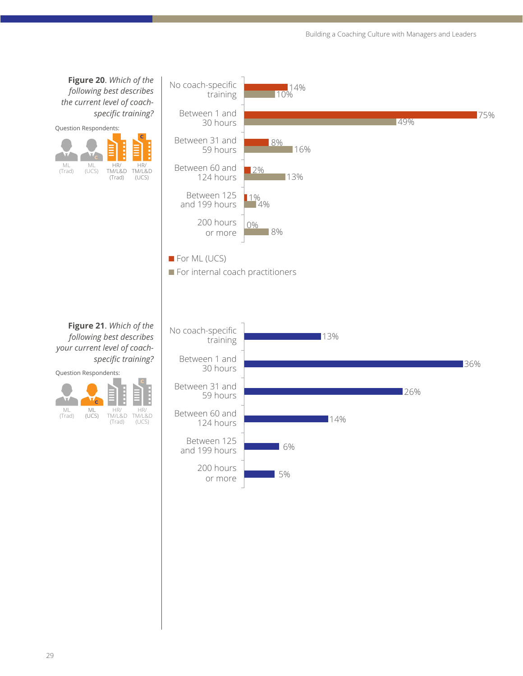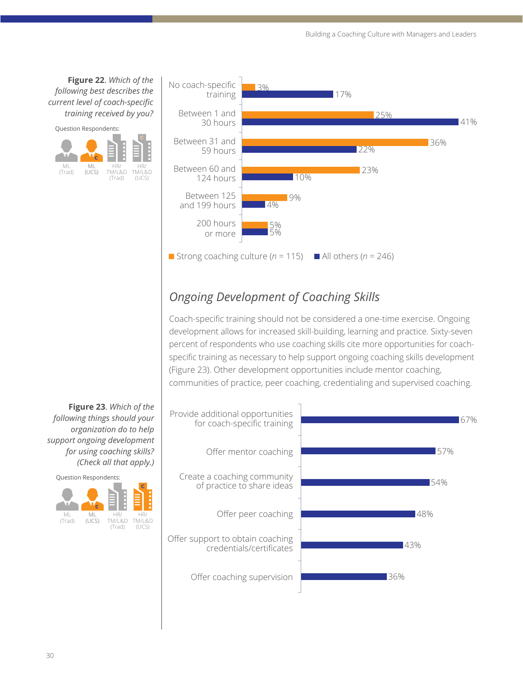**Figure 22**. *Which of the following best describes the current level of coach-specific training received by you?* 





# *Ongoing Development of Coaching Skills*

Coach-specific training should not be considered a one-time exercise. Ongoing development allows for increased skill-building, learning and practice. Sixty-seven percent of respondents who use coaching skills cite more opportunities for coachspecific training as necessary to help support ongoing coaching skills development (Figure 23). Other development opportunities include mentor coaching, communities of practice, peer coaching, credentialing and supervised coaching.



**Figure 23**. *Which of the following things should your organization do to help support ongoing development for using coaching skills? (Check all that apply.)*

Question Respondents:

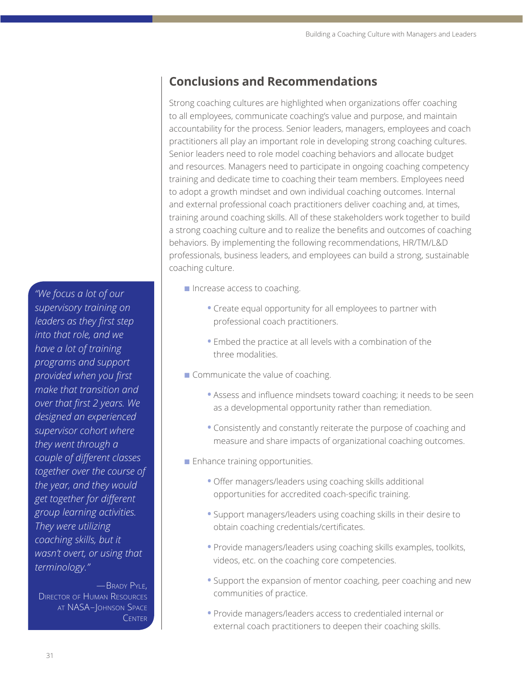# **Conclusions and Recommendations**

Strong coaching cultures are highlighted when organizations offer coaching to all employees, communicate coaching's value and purpose, and maintain accountability for the process. Senior leaders, managers, employees and coach practitioners all play an important role in developing strong coaching cultures. Senior leaders need to role model coaching behaviors and allocate budget and resources. Managers need to participate in ongoing coaching competency training and dedicate time to coaching their team members. Employees need to adopt a growth mindset and own individual coaching outcomes. Internal and external professional coach practitioners deliver coaching and, at times, training around coaching skills. All of these stakeholders work together to build a strong coaching culture and to realize the benefits and outcomes of coaching behaviors. By implementing the following recommendations, HR/TM/L&D professionals, business leaders, and employees can build a strong, sustainable coaching culture.

- n Increase access to coaching.
	- **•** Create equal opportunity for all employees to partner with professional coach practitioners.
	- **•** Embed the practice at all levels with a combination of the three modalities.
- $\blacksquare$  Communicate the value of coaching.
	- **•** Assess and influence mindsets toward coaching; it needs to be seen as a developmental opportunity rather than remediation.
	- **•** Consistently and constantly reiterate the purpose of coaching and measure and share impacts of organizational coaching outcomes.
- $\blacksquare$  Enhance training opportunities.
	- **•** Offer managers/leaders using coaching skills additional opportunities for accredited coach-specific training.
	- **•** Support managers/leaders using coaching skills in their desire to obtain coaching credentials/certificates.
	- **•** Provide managers/leaders using coaching skills examples, toolkits, videos, etc. on the coaching core competencies.
	- **•** Support the expansion of mentor coaching, peer coaching and new communities of practice.
	- **•** Provide managers/leaders access to credentialed internal or external coach practitioners to deepen their coaching skills.

*"We focus a lot of our supervisory training on leaders as they first step into that role, and we have a lot of training programs and support provided when you first make that transition and over that first 2 years. We designed an experienced supervisor cohort where they went through a couple of different classes together over the course of the year, and they would get together for different group learning activities. They were utilizing coaching skills, but it wasn't overt, or using that terminology."*

—Brady Pyle, Director of Human Resources at NASA–Johnson Space **CENTER**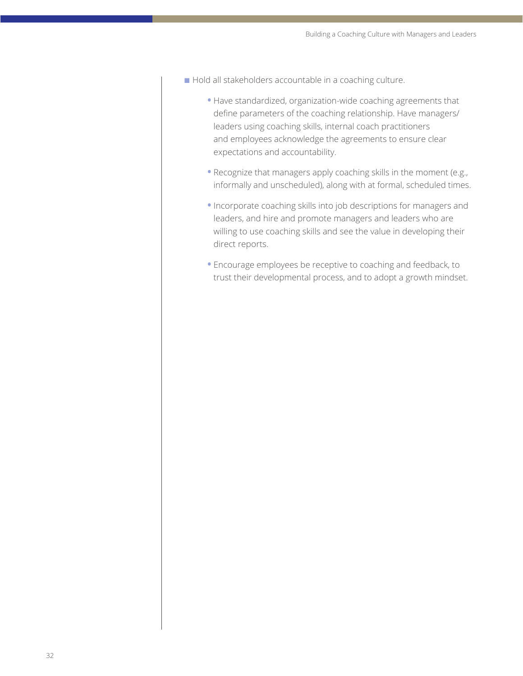- n Hold all stakeholders accountable in a coaching culture.
	- **•** Have standardized, organization-wide coaching agreements that define parameters of the coaching relationship. Have managers/ leaders using coaching skills, internal coach practitioners and employees acknowledge the agreements to ensure clear expectations and accountability.
	- **•** Recognize that managers apply coaching skills in the moment (e.g., informally and unscheduled), along with at formal, scheduled times.
	- **•** Incorporate coaching skills into job descriptions for managers and leaders, and hire and promote managers and leaders who are willing to use coaching skills and see the value in developing their direct reports.
	- **•** Encourage employees be receptive to coaching and feedback, to trust their developmental process, and to adopt a growth mindset.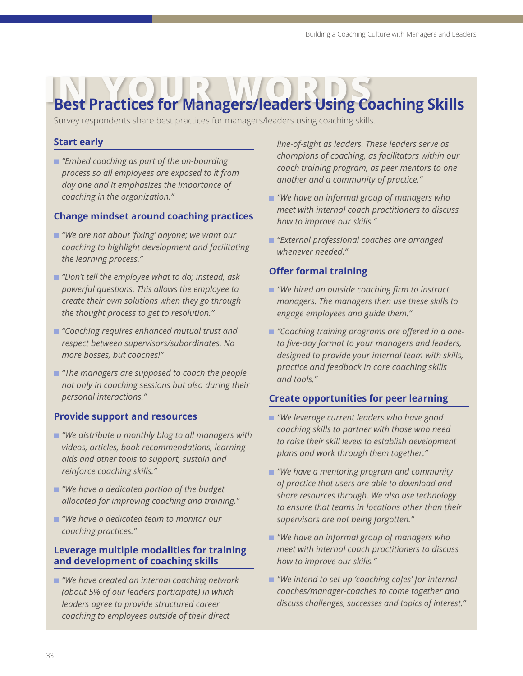# **IN YOUR BEST Practices for Managers/leaders Using Coaching Skills**

Survey respondents share best practices for managers/leaders using coaching skills.

#### **Start early**

n *"Embed coaching as part of the on-boarding process so all employees are exposed to it from day one and it emphasizes the importance of coaching in the organization."*

#### **Change mindset around coaching practices**

- "We are not about 'fixing' anyone; we want our *coaching to highlight development and facilitating the learning process."*
- n *"Don't tell the employee what to do; instead, ask powerful questions. This allows the employee to create their own solutions when they go through the thought process to get to resolution."*
- n *"Coaching requires enhanced mutual trust and respect between supervisors/subordinates. No more bosses, but coaches!"*
- **n** "The managers are supposed to coach the people *not only in coaching sessions but also during their personal interactions."*

#### **Provide support and resources**

- "We distribute a monthly blog to all managers with *videos, articles, book recommendations, learning aids and other tools to support, sustain and reinforce coaching skills."*
- *"We have a dedicated portion of the budget allocated for improving coaching and training."*
- *"We have a dedicated team to monitor our coaching practices."*

#### **Leverage multiple modalities for training and development of coaching skills**

■ "We have created an internal coaching network *(about 5% of our leaders participate) in which leaders agree to provide structured career coaching to employees outside of their direct* 

*line-of-sight as leaders. These leaders serve as champions of coaching, as facilitators within our coach training program, as peer mentors to one another and a community of practice."*

- n *"We have an informal group of managers who meet with internal coach practitioners to discuss how to improve our skills."*
- n *"External professional coaches are arranged whenever needed."*

#### **Offer formal training**

- *"We hired an outside coaching firm to instruct managers. The managers then use these skills to engage employees and guide them."*
- **n** "Coaching training programs are offered in a one*to five-day format to your managers and leaders, designed to provide your internal team with skills, practice and feedback in core coaching skills and tools."*

#### **Create opportunities for peer learning**

- n *"We leverage current leaders who have good coaching skills to partner with those who need to raise their skill levels to establish development plans and work through them together."*
- *"We have a mentoring program and community of practice that users are able to download and share resources through. We also use technology to ensure that teams in locations other than their supervisors are not being forgotten."*
- "We have an informal group of managers who *meet with internal coach practitioners to discuss how to improve our skills."*
- "We intend to set up 'coaching cafes' for internal *coaches/manager-coaches to come together and discuss challenges, successes and topics of interest."*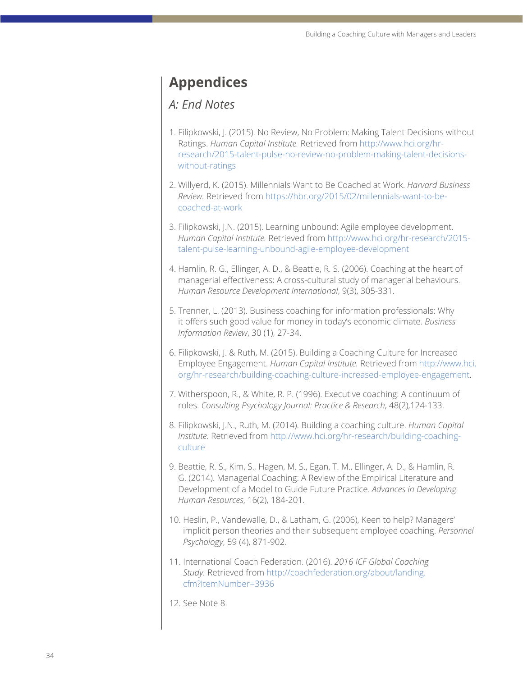# **Appendices**

### *A: End Notes*

- 1. Filipkowski, J. (2015). No Review, No Problem: Making Talent Decisions without Ratings. *Human Capital Institute.* Retrieved from [http://www.hci.org/hr](http://www.hci.org/hr-research/2015-talent-pulse-no-review-no-problem-making-talent-decisions-without-ratings)[research/2015-talent-pulse-no-review-no-problem-making-talent-decisions](http://www.hci.org/hr-research/2015-talent-pulse-no-review-no-problem-making-talent-decisions-without-ratings)[without-ratings](http://www.hci.org/hr-research/2015-talent-pulse-no-review-no-problem-making-talent-decisions-without-ratings)
- 2. Willyerd, K. (2015). Millennials Want to Be Coached at Work. *Harvard Business Review.* Retrieved from [https://hbr.org/2015/02/millennials-want-to-be](https://hbr.org/2015/02/millennials-want-to-be-coached-at-work)[coached-at-work](https://hbr.org/2015/02/millennials-want-to-be-coached-at-work)
- 3. Filipkowski, J.N. (2015). Learning unbound: Agile employee development. *Human Capital Institute.* Retrieved from [http://www.hci.org/hr-research/2015](http://www.hci.org/hr-research/2015-talent-pulse-learning-unbound-agile-employee-development) [talent-pulse-learning-unbound-agile-employee-development](http://www.hci.org/hr-research/2015-talent-pulse-learning-unbound-agile-employee-development)
- 4. Hamlin, R. G., Ellinger, A. D., & Beattie, R. S. (2006). Coaching at the heart of managerial effectiveness: A cross-cultural study of managerial behaviours. *Human Resource Development International*, 9(3), 305-331.
- 5. Trenner, L. (2013). Business coaching for information professionals: Why it offers such good value for money in today's economic climate. *Business Information Review*, 30 (1), 27-34.
- 6. Filipkowski, J. & Ruth, M. (2015). Building a Coaching Culture for Increased Employee Engagement. *Human Capital Institute.* Retrieved from [http://www.hci.](http://www.hci.org/hr-research/building-coaching-culture-increased-employee-engagement) [org/hr-research/building-coaching-culture-increased-employee-engagement](http://www.hci.org/hr-research/building-coaching-culture-increased-employee-engagement).
- 7. Witherspoon, R., & White, R. P. (1996). Executive coaching: A continuum of roles. *Consulting Psychology Journal: Practice & Research*, 48(2),124-133.
- 8[.](http://) Filipkowski, J.N., Ruth, M. (2014). Building a coaching culture. *Human Capital Institute.* Retrieved from [http://www.hci.org/hr-research/building-coaching](http://www.hci.org/hr-research/building-coaching-culture)[culture](http://www.hci.org/hr-research/building-coaching-culture)
- 9. Beattie, R. S., Kim, S., Hagen, M. S., Egan, T. M., Ellinger, A. D., & Hamlin, R. G. (2014). Managerial Coaching: A Review of the Empirical Literature and Development of a Model to Guide Future Practice. *Advances in Developing Human Resources*, 16(2), 184-201.
- 10. Heslin, P., Vandewalle, D., & Latham, G. (2006), Keen to help? Managers' implicit person theories and their subsequent employee coaching. *Personnel Psychology*, 59 (4), 871-902.
- 11. International Coach Federation. (2016). *2016 ICF Global Coaching Study.* Retrieved from [http://coachfederation.org/about/landing.](http://coachfederation.org/about/landing.cfm?ItemNumber=3936) [cfm?ItemNumber=3936](http://coachfederation.org/about/landing.cfm?ItemNumber=3936)
- 12. See Note 8.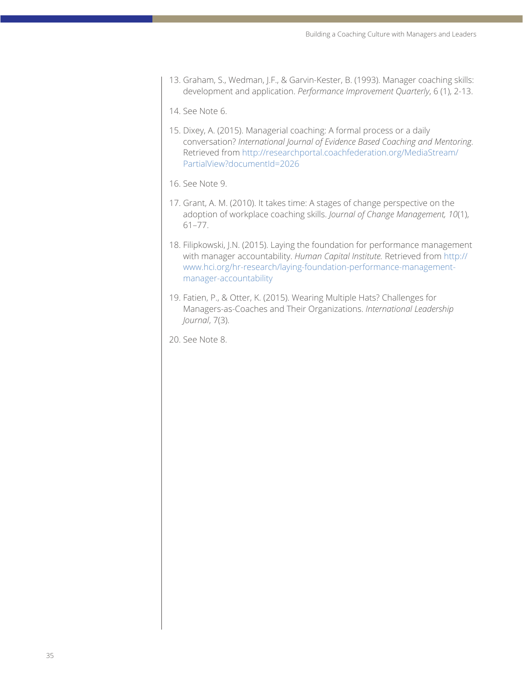13. Graham, S., Wedman, J.F., & Garvin-Kester, B. (1993). Manager coaching skills: development and application. *Performance Improvement Quarterly*, 6 (1), 2-13.

14. See Note 6.

15. Dixey, A. (2015). Managerial coaching: A formal process or a daily conversation? *International Journal of Evidence Based Coaching and Mentoring.* Retrieved from [http://researchportal.coachfederation.org/MediaStream/](http://researchportal.coachfederation.org/MediaStream/PartialView?documentId=2026) [PartialView?documentId=2026](http://researchportal.coachfederation.org/MediaStream/PartialView?documentId=2026)

16. See Note 9.

- 17. Grant, A. M. (2010). It takes time: A stages of change perspective on the adoption of workplace coaching skills. *Journal of Change Management, 10*(1), 61–77.
- 18. Filipkowski, J.N. (2015). Laying the foundation for performance management with manager accountability. *Human Capital Institute.* Retrieved from [http://](http://www.hci.org/hr-research/laying-foundation-performance-management-manager-accountability) [www.hci.org/hr-research/laying-foundation-performance-management](http://www.hci.org/hr-research/laying-foundation-performance-management-manager-accountability)[manager-accountability](http://www.hci.org/hr-research/laying-foundation-performance-management-manager-accountability)
- 19. Fatien, P., & Otter, K. (2015). Wearing Multiple Hats? Challenges for Managers-as-Coaches and Their Organizations. *International Leadership Journal*, 7(3).

20. See Note 8.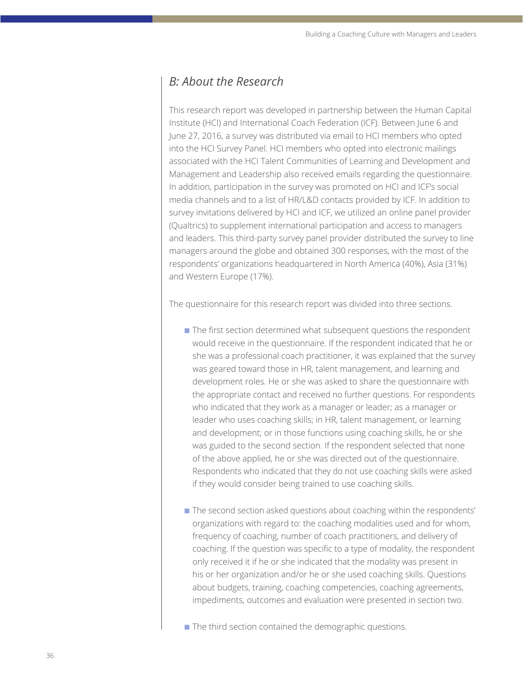### *B: About the Research*

This research report was developed in partnership between the Human Capital Institute (HCI) and International Coach Federation (ICF). Between June 6 and June 27, 2016, a survey was distributed via email to HCI members who opted into the HCI Survey Panel. HCI members who opted into electronic mailings associated with the HCI Talent Communities of Learning and Development and Management and Leadership also received emails regarding the questionnaire. In addition, participation in the survey was promoted on HCI and ICF's social media channels and to a list of HR/L&D contacts provided by ICF. In addition to survey invitations delivered by HCI and ICF, we utilized an online panel provider (Qualtrics) to supplement international participation and access to managers and leaders. This third-party survey panel provider distributed the survey to line managers around the globe and obtained 300 responses, with the most of the respondents' organizations headquartered in North America (40%), Asia (31%) and Western Europe (17%).

The questionnaire for this research report was divided into three sections.

- $\blacksquare$  The first section determined what subsequent questions the respondent would receive in the questionnaire. If the respondent indicated that he or she was a professional coach practitioner, it was explained that the survey was geared toward those in HR, talent management, and learning and development roles. He or she was asked to share the questionnaire with the appropriate contact and received no further questions. For respondents who indicated that they work as a manager or leader; as a manager or leader who uses coaching skills; in HR, talent management, or learning and development; or in those functions using coaching skills, he or she was guided to the second section. If the respondent selected that none of the above applied, he or she was directed out of the questionnaire. Respondents who indicated that they do not use coaching skills were asked if they would consider being trained to use coaching skills.
- The second section asked questions about coaching within the respondents' organizations with regard to: the coaching modalities used and for whom, frequency of coaching, number of coach practitioners, and delivery of coaching. If the question was specific to a type of modality, the respondent only received it if he or she indicated that the modality was present in his or her organization and/or he or she used coaching skills. Questions about budgets, training, coaching competencies, coaching agreements, impediments, outcomes and evaluation were presented in section two.
- The third section contained the demographic questions.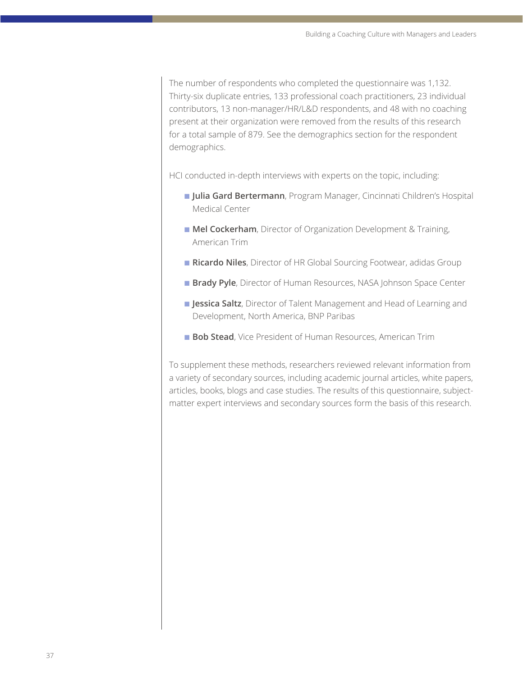The number of respondents who completed the questionnaire was 1,132. Thirty-six duplicate entries, 133 professional coach practitioners, 23 individual contributors, 13 non-manager/HR/L&D respondents, and 48 with no coaching present at their organization were removed from the results of this research for a total sample of 879. See the demographics section for the respondent demographics.

HCI conducted in-depth interviews with experts on the topic, including:

- n **Julia Gard Bertermann**, Program Manager, Cincinnati Children's Hospital Medical Center
- **n Mel Cockerham**, Director of Organization Development & Training, American Trim
- **Ricardo Niles**, Director of HR Global Sourcing Footwear, adidas Group
- **Brady Pyle**, Director of Human Resources, NASA Johnson Space Center
- **n Jessica Saltz**, Director of Talent Management and Head of Learning and Development, North America, BNP Paribas
- **Bob Stead**, Vice President of Human Resources, American Trim

To supplement these methods, researchers reviewed relevant information from a variety of secondary sources, including academic journal articles, white papers, articles, books, blogs and case studies. The results of this questionnaire, subjectmatter expert interviews and secondary sources form the basis of this research.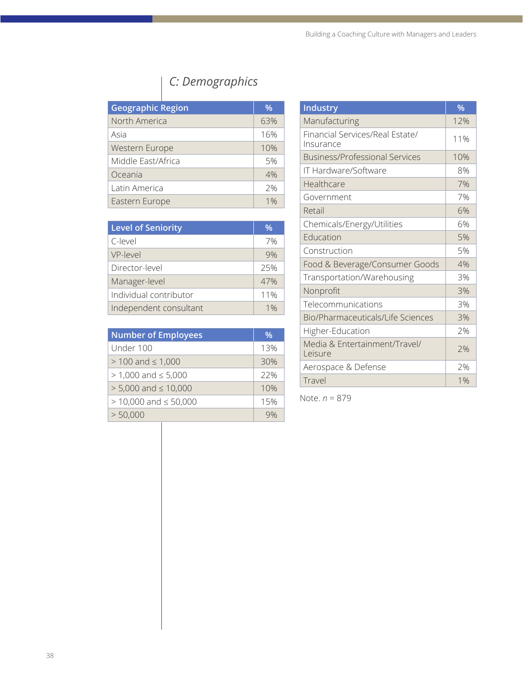# *C: Demographics*

| <b>Geographic Region</b> | $\%$  |
|--------------------------|-------|
| North America            | 63%   |
| Asia                     | 16%   |
| Western Europe           | 10%   |
| Middle East/Africa       | 5%    |
| Oceania                  | 4%    |
| Latin America            | 2%    |
| Eastern Europe           | $1\%$ |

| <b>Level of Seniority</b> | %   |
|---------------------------|-----|
| C-level                   | 7%  |
| VP-level                  | 9%  |
| Director-level            | 25% |
| Manager-level             | 47% |
| Individual contributor    | 11% |
| Independent consultant    | 1%  |

| <b>Number of Employees</b>   | $\%$ |
|------------------------------|------|
| Under 100                    | 13%  |
| $> 100$ and $\leq 1,000$     | 30%  |
| $> 1,000$ and $\leq 5,000$   | 22%  |
| $> 5,000$ and $\leq 10,000$  | 10%  |
| $> 10,000$ and $\leq 50,000$ | 15%  |
| > 50,000                     |      |

| <b>Industry</b>                              | %   |
|----------------------------------------------|-----|
| Manufacturing                                | 12% |
| Financial Services/Real Estate/<br>Insurance | 11% |
| <b>Business/Professional Services</b>        | 10% |
| IT Hardware/Software                         | 8%  |
| Healthcare                                   | 7%  |
| Government                                   | 7%  |
| Retail                                       | 6%  |
| Chemicals/Energy/Utilities                   | 6%  |
| Education                                    | 5%  |
| Construction                                 | 5%  |
| Food & Beverage/Consumer Goods               | 4%  |
| Transportation/Warehousing                   | 3%  |
| Nonprofit                                    | 3%  |
| Telecommunications                           | 3%  |
| Bio/Pharmaceuticals/Life Sciences            | 3%  |
| Higher-Education                             | 7%  |
| Media & Entertainment/Travel/<br>Leisure     | 2%  |
| Aerospace & Defense                          | 7%  |
| Travel                                       | 1%  |

Note. *n* = 879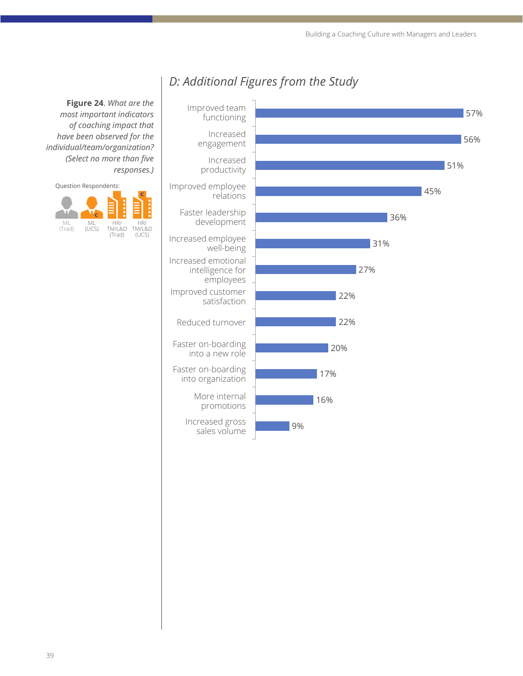

# *D: Additional Figures from the Study*

**Figure 24**. *What are the most important indicators of coaching impact that have been observed for the individual/team/organization? (Select no more than five responses.)*

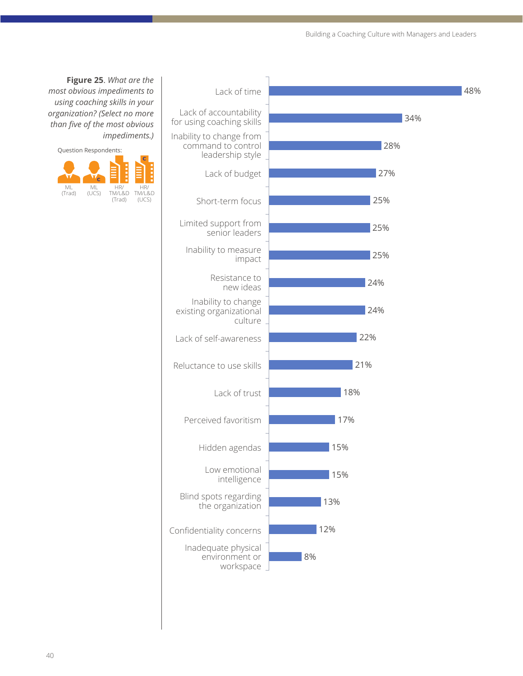

**Figure 25**. *What are the most obvious impediments to using coaching skills in your organization? (Select no more than five of the most obvious impediments.)*

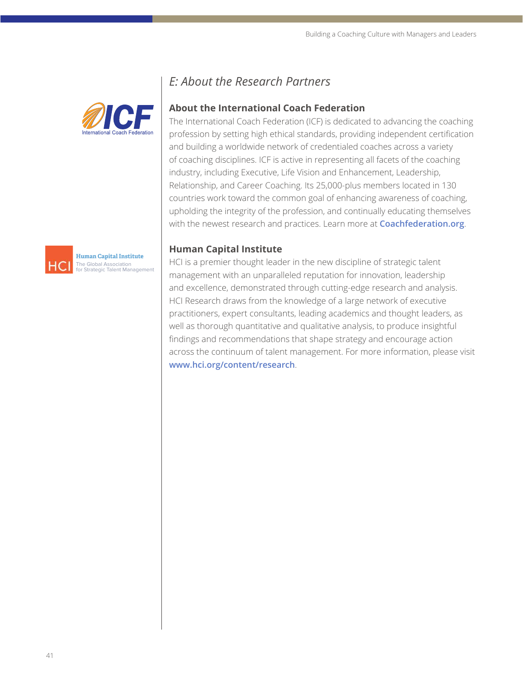



#### **About the International Coach Federation**

The International Coach Federation (ICF) is dedicated to advancing the coaching profession by setting high ethical standards, providing independent certification and building a worldwide network of credentialed coaches across a variety of coaching disciplines. ICF is active in representing all facets of the coaching industry, including Executive, Life Vision and Enhancement, Leadership, Relationship, and Career Coaching. Its 25,000-plus members located in 130 countries work toward the common goal of enhancing awareness of coaching, upholding the integrity of the profession, and continually educating themselves with the newest research and practices. Learn more at **[Coachfederation.org](http://www.coachfederation.org)**.

#### **Human Capital Institute**

HCI is a premier thought leader in the new discipline of strategic talent management with an unparalleled reputation for innovation, leadership and excellence, demonstrated through cutting-edge research and analysis. HCI Research draws from the knowledge of a large network of executive practitioners, expert consultants, leading academics and thought leaders, as well as thorough quantitative and qualitative analysis, to produce insightful findings and recommendations that shape strategy and encourage action across the continuum of talent management. For more information, please visit **[www.hci.org/content/research](http://www.hci.org/content/research)**.



**Human Capital Institute** The Global Association for Strategic Talent Management